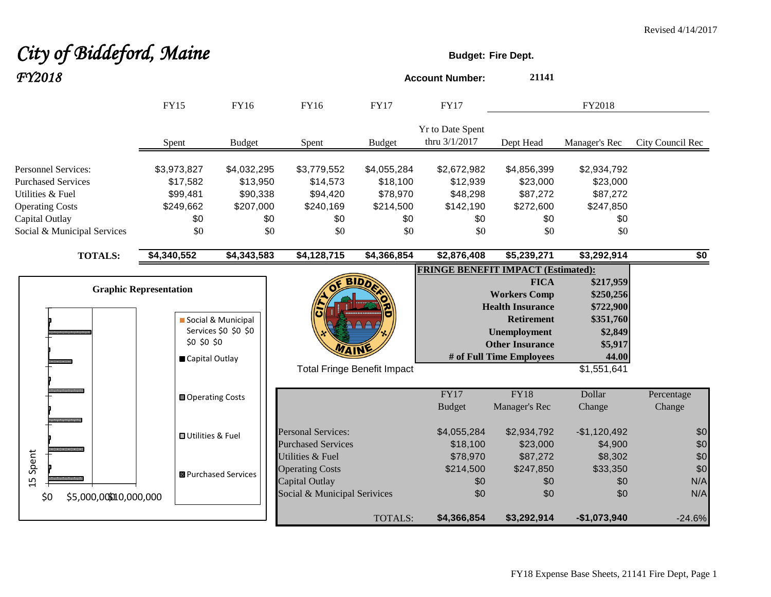# City of Biddeford, Maine **Budget:** Fire Dept.

| FY2018                                                                                                |                                                                |                                                  |                                                              |                                                  | <b>Account Number:</b>                           | 21141                                                                                                                                                           |                                                                                 |                      |
|-------------------------------------------------------------------------------------------------------|----------------------------------------------------------------|--------------------------------------------------|--------------------------------------------------------------|--------------------------------------------------|--------------------------------------------------|-----------------------------------------------------------------------------------------------------------------------------------------------------------------|---------------------------------------------------------------------------------|----------------------|
|                                                                                                       | <b>FY15</b>                                                    | <b>FY16</b>                                      | FY16                                                         | <b>FY17</b>                                      | <b>FY17</b>                                      |                                                                                                                                                                 | FY2018                                                                          |                      |
|                                                                                                       | Spent                                                          | <b>Budget</b>                                    | Spent                                                        | <b>Budget</b>                                    | <b>Yr to Date Spent</b><br>thru 3/1/2017         | Dept Head                                                                                                                                                       | Manager's Rec                                                                   | City Council Rec     |
| <b>Personnel Services:</b><br><b>Purchased Services</b><br>Utilities & Fuel<br><b>Operating Costs</b> | \$3,973,827<br>\$17,582<br>\$99,481<br>\$249,662               | \$4,032,295<br>\$13,950<br>\$90,338<br>\$207,000 | \$3,779,552<br>\$14,573<br>\$94,420<br>\$240,169             | \$4,055,284<br>\$18,100<br>\$78,970<br>\$214,500 | \$2,672,982<br>\$12,939<br>\$48,298<br>\$142,190 | \$4,856,399<br>\$23,000<br>\$87,272<br>\$272,600                                                                                                                | \$2,934,792<br>\$23,000<br>\$87,272<br>\$247,850                                |                      |
| Capital Outlay<br>Social & Municipal Services                                                         | \$0<br>\$0                                                     | \$0<br>\$0                                       | \$0<br>\$0                                                   | \$0<br>\$0                                       | \$0<br>\$0                                       | \$0<br>\$0                                                                                                                                                      | \$0<br>\$0                                                                      |                      |
| <b>TOTALS:</b>                                                                                        | \$4,340,552                                                    | \$4,343,583                                      | \$4,128,715                                                  | \$4,366,854                                      | \$2,876,408                                      | \$5,239,271                                                                                                                                                     | \$3,292,914                                                                     | \$0                  |
|                                                                                                       | <b>Graphic Representation</b><br>\$0 \$0 \$0<br>Capital Outlay | Social & Municipal<br>Services \$0 \$0 \$0       |                                                              |                                                  | <b>FRINGE BENEFIT IMPACT (Estimated):</b>        | <b>FICA</b><br><b>Workers Comp</b><br><b>Health Insurance</b><br><b>Retirement</b><br><b>Unemployment</b><br><b>Other Insurance</b><br># of Full Time Employees | \$217,959<br>\$250,256<br>\$722,900<br>\$351,760<br>\$2,849<br>\$5,917<br>44.00 |                      |
|                                                                                                       | <b>□ Operating Costs</b>                                       |                                                  |                                                              | <b>Total Fringe Benefit Impact</b>               | FY17<br><b>Budget</b>                            | <b>FY18</b><br>Manager's Rec                                                                                                                                    | $\overline{\$1,55}1,641$<br>Dollar<br>Change                                    | Percentage<br>Change |
|                                                                                                       | <b>□</b> Utilities & Fuel                                      |                                                  | <b>Personal Services:</b><br><b>Purchased Services</b>       |                                                  | \$4,055,284<br>\$18,100                          | \$2,934,792<br>\$23,000                                                                                                                                         | $-$1,120,492$<br>\$4,900                                                        | \$0<br>\$0           |
| Spent<br>15                                                                                           |                                                                | <b>■</b> Purchased Services                      | Utilities & Fuel<br><b>Operating Costs</b><br>Capital Outlay |                                                  | \$78,970<br>\$214,500<br>\$0                     | \$87,272<br>\$247,850<br>\$0                                                                                                                                    | \$8,302<br>\$33,350<br>\$0                                                      | \$0<br>\$0<br>N/A    |
| \$0<br>\$5,000,00\$010,000,000                                                                        |                                                                |                                                  | Social & Municipal Serivices                                 | <b>TOTALS:</b>                                   | \$0<br>\$4,366,854                               | \$0<br>\$3,292,914                                                                                                                                              | \$0<br>$-$1,073,940$                                                            | N/A<br>$-24.6%$      |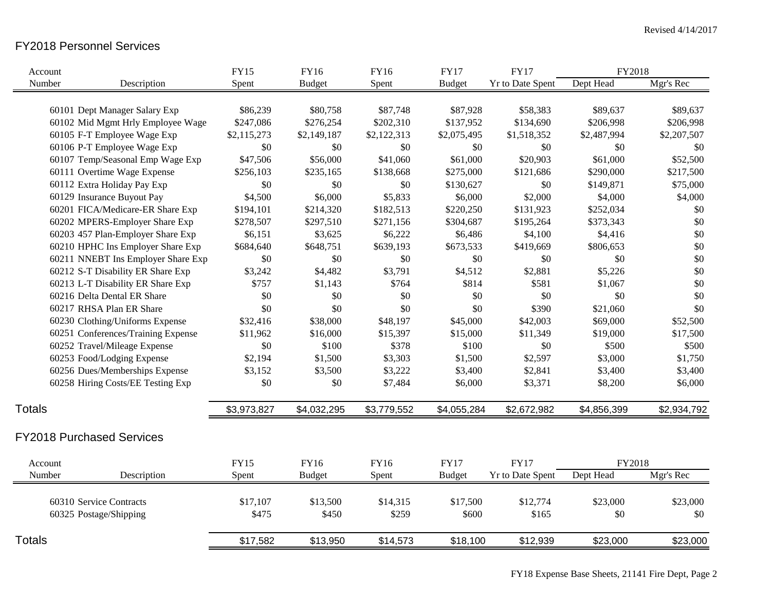# FY2018 Personnel Services

| Account       |                                    | <b>FY15</b> | FY16          | <b>FY16</b> | <b>FY17</b>   | <b>FY17</b>             | FY2018      |             |
|---------------|------------------------------------|-------------|---------------|-------------|---------------|-------------------------|-------------|-------------|
| Number        | Description                        | Spent       | <b>Budget</b> | Spent       | <b>Budget</b> | Yr to Date Spent        | Dept Head   | Mgr's Rec   |
|               |                                    |             |               |             |               |                         |             |             |
|               | 60101 Dept Manager Salary Exp      | \$86,239    | \$80,758      | \$87,748    | \$87,928      | \$58,383                | \$89,637    | \$89,637    |
|               | 60102 Mid Mgmt Hrly Employee Wage  | \$247,086   | \$276,254     | \$202,310   | \$137,952     | \$134,690               | \$206,998   | \$206,998   |
|               | 60105 F-T Employee Wage Exp        | \$2,115,273 | \$2,149,187   | \$2,122,313 | \$2,075,495   | \$1,518,352             | \$2,487,994 | \$2,207,507 |
|               | 60106 P-T Employee Wage Exp        | \$0         | \$0           | \$0         | \$0           | \$0                     | \$0         | \$0         |
|               | 60107 Temp/Seasonal Emp Wage Exp   | \$47,506    | \$56,000      | \$41,060    | \$61,000      | \$20,903                | \$61,000    | \$52,500    |
|               | 60111 Overtime Wage Expense        | \$256,103   | \$235,165     | \$138,668   | \$275,000     | \$121,686               | \$290,000   | \$217,500   |
|               | 60112 Extra Holiday Pay Exp        | \$0         | \$0           | \$0         | \$130,627     | \$0                     | \$149,871   | \$75,000    |
|               | 60129 Insurance Buyout Pay         | \$4,500     | \$6,000       | \$5,833     | \$6,000       | \$2,000                 | \$4,000     | \$4,000     |
|               | 60201 FICA/Medicare-ER Share Exp   | \$194,101   | \$214,320     | \$182,513   | \$220,250     | \$131,923               | \$252,034   | \$0         |
|               | 60202 MPERS-Employer Share Exp     | \$278,507   | \$297,510     | \$271,156   | \$304,687     | \$195,264               | \$373,343   | \$0         |
|               | 60203 457 Plan-Employer Share Exp  | \$6,151     | \$3,625       | \$6,222     | \$6,486       | \$4,100                 | \$4,416     | \$0         |
|               | 60210 HPHC Ins Employer Share Exp  | \$684,640   | \$648,751     | \$639,193   | \$673,533     | \$419,669               | \$806,653   | $\$0$       |
|               | 60211 NNEBT Ins Employer Share Exp | \$0         | \$0           | \$0         | \$0           | \$0                     | \$0         | \$0         |
|               | 60212 S-T Disability ER Share Exp  | \$3,242     | \$4,482       | \$3,791     | \$4,512       | \$2,881                 | \$5,226     | \$0         |
|               | 60213 L-T Disability ER Share Exp  | \$757       | \$1,143       | \$764       | \$814         | \$581                   | \$1,067     | \$0         |
|               | 60216 Delta Dental ER Share        | \$0         | \$0           | \$0         | \$0           | \$0                     | \$0         | \$0         |
|               | 60217 RHSA Plan ER Share           | \$0         | \$0           | \$0         | \$0           | \$390                   | \$21,060    | \$0         |
|               | 60230 Clothing/Uniforms Expense    | \$32,416    | \$38,000      | \$48,197    | \$45,000      | \$42,003                | \$69,000    | \$52,500    |
|               | 60251 Conferences/Training Expense | \$11,962    | \$16,000      | \$15,397    | \$15,000      | \$11,349                | \$19,000    | \$17,500    |
|               | 60252 Travel/Mileage Expense       | \$0         | \$100         | \$378       | \$100         | \$0                     | \$500       | \$500       |
|               | 60253 Food/Lodging Expense         | \$2,194     | \$1,500       | \$3,303     | \$1,500       | \$2,597                 | \$3,000     | \$1,750     |
|               | 60256 Dues/Memberships Expense     | \$3,152     | \$3,500       | \$3,222     | \$3,400       | \$2,841                 | \$3,400     | \$3,400     |
|               | 60258 Hiring Costs/EE Testing Exp  | \$0         | \$0           | \$7,484     | \$6,000       | \$3,371                 | \$8,200     | \$6,000     |
| <b>Totals</b> |                                    | \$3,973,827 | \$4,032,295   | \$3,779,552 | \$4,055,284   | \$2,672,982             | \$4,856,399 | \$2,934,792 |
|               | <b>FY2018 Purchased Services</b>   |             |               |             |               |                         |             |             |
| Account       |                                    | <b>FY15</b> | <b>FY16</b>   | <b>FY16</b> | <b>FY17</b>   | <b>FY17</b>             | FY2018      |             |
| Number        | Description                        | Spent       | <b>Budget</b> | Spent       | <b>Budget</b> | <b>Yr to Date Spent</b> | Dept Head   | Mgr's Rec   |
|               | 60310 Service Contracts            | \$17,107    | \$13,500      | \$14,315    | \$17,500      | \$12,774                | \$23,000    | \$23,000    |
|               | 60325 Postage/Shipping             | \$475       | \$450         | \$259       | \$600         | \$165                   | \$0         | \$0         |
| <b>Totals</b> |                                    | \$17,582    | \$13,950      | \$14,573    | \$18,100      | \$12,939                | \$23,000    | \$23,000    |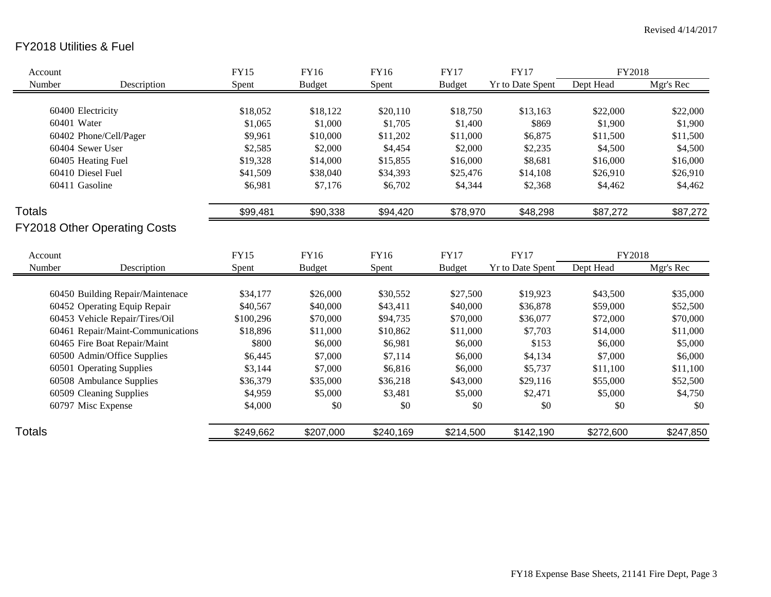# FY2018 Utilities & Fuel

| Account                             |                                   | <b>FY15</b> | FY16          | FY16      | <b>FY17</b>   | <b>FY17</b>             | FY2018    |           |
|-------------------------------------|-----------------------------------|-------------|---------------|-----------|---------------|-------------------------|-----------|-----------|
| Number                              | Description                       | Spent       | <b>Budget</b> | Spent     | <b>Budget</b> | <b>Yr to Date Spent</b> | Dept Head | Mgr's Rec |
|                                     |                                   |             |               |           |               |                         |           |           |
| 60400 Electricity                   |                                   | \$18,052    | \$18,122      | \$20,110  | \$18,750      | \$13,163                | \$22,000  | \$22,000  |
| 60401 Water                         |                                   | \$1,065     | \$1,000       | \$1,705   | \$1,400       | \$869                   | \$1,900   | \$1,900   |
| 60402 Phone/Cell/Pager              |                                   | \$9,961     | \$10,000      | \$11,202  | \$11,000      | \$6,875                 | \$11,500  | \$11,500  |
| 60404 Sewer User                    |                                   | \$2,585     | \$2,000       | \$4,454   | \$2,000       | \$2,235                 | \$4,500   | \$4,500   |
| 60405 Heating Fuel                  |                                   | \$19,328    | \$14,000      | \$15,855  | \$16,000      | \$8,681                 | \$16,000  | \$16,000  |
| 60410 Diesel Fuel                   |                                   | \$41,509    | \$38,040      | \$34,393  | \$25,476      | \$14,108                | \$26,910  | \$26,910  |
| 60411 Gasoline                      |                                   | \$6,981     | \$7,176       | \$6,702   | \$4,344       | \$2,368                 | \$4,462   | \$4,462   |
| <b>Totals</b>                       |                                   | \$99,481    | \$90,338      | \$94,420  | \$78,970      | \$48,298                | \$87,272  | \$87,272  |
| <b>FY2018 Other Operating Costs</b> |                                   |             |               |           |               |                         |           |           |
| Account                             |                                   | <b>FY15</b> | FY16          | FY16      | <b>FY17</b>   | <b>FY17</b>             | FY2018    |           |
| Number                              | Description                       | Spent       | <b>Budget</b> | Spent     | <b>Budget</b> | <b>Yr to Date Spent</b> | Dept Head | Mgr's Rec |
|                                     |                                   |             |               |           |               |                         |           |           |
|                                     | 60450 Building Repair/Maintenace  | \$34,177    | \$26,000      | \$30,552  | \$27,500      | \$19,923                | \$43,500  | \$35,000  |
|                                     | 60452 Operating Equip Repair      | \$40,567    | \$40,000      | \$43,411  | \$40,000      | \$36,878                | \$59,000  | \$52,500  |
|                                     | 60453 Vehicle Repair/Tires/Oil    | \$100,296   | \$70,000      | \$94,735  | \$70,000      | \$36,077                | \$72,000  | \$70,000  |
|                                     | 60461 Repair/Maint-Communications | \$18,896    | \$11,000      | \$10,862  | \$11,000      | \$7,703                 | \$14,000  | \$11,000  |
|                                     | 60465 Fire Boat Repair/Maint      | \$800       | \$6,000       | \$6,981   | \$6,000       | \$153                   | \$6,000   | \$5,000   |
|                                     | 60500 Admin/Office Supplies       | \$6,445     | \$7,000       | \$7,114   | \$6,000       | \$4,134                 | \$7,000   | \$6,000   |
|                                     | 60501 Operating Supplies          | \$3,144     | \$7,000       | \$6,816   | \$6,000       | \$5,737                 | \$11,100  | \$11,100  |
|                                     | 60508 Ambulance Supplies          | \$36,379    | \$35,000      | \$36,218  | \$43,000      | \$29,116                | \$55,000  | \$52,500  |
|                                     | 60509 Cleaning Supplies           | \$4,959     | \$5,000       | \$3,481   | \$5,000       | \$2,471                 | \$5,000   | \$4,750   |
| 60797 Misc Expense                  |                                   | \$4,000     | \$0           | \$0       | \$0           | \$0                     | \$0       | \$0       |
| Totals                              |                                   | \$249,662   | \$207,000     | \$240,169 | \$214,500     | \$142,190               | \$272,600 | \$247,850 |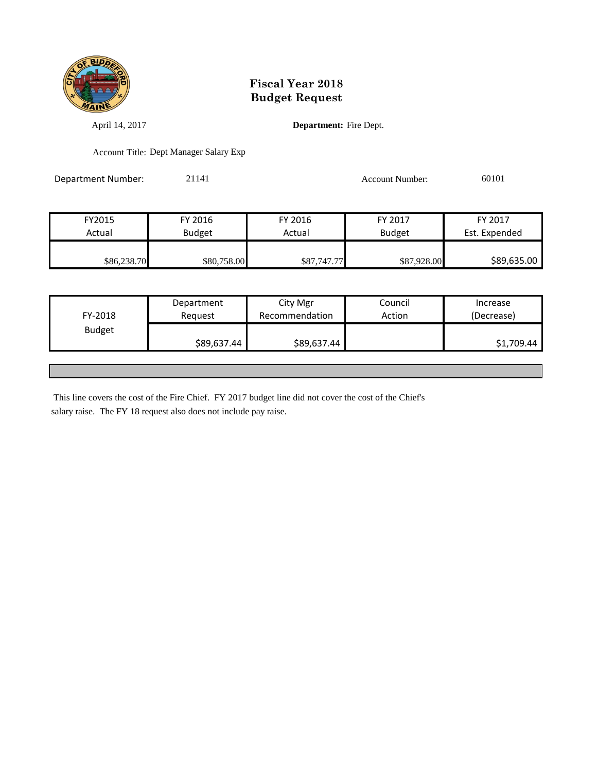

April 14, 2017 **Department:** Fire Dept.

Account Title: Dept Manager Salary Exp

Department Number: 21141 21141 Account Number: 60101

FY2015 FY 2016 FY 2016 FY 2017 FY 2017 Actual Budget Actual Budget Est. Expended \$86,238.70 \$80,758.00 \$87,747.77 \$87,928.00 \$89,635.00

| FY-2018       | Department<br>Request | City Mgr<br>Recommendation | Council<br>Action | Increase<br>(Decrease) |
|---------------|-----------------------|----------------------------|-------------------|------------------------|
| <b>Budget</b> | \$89,637.44           | \$89,637.44                |                   | \$1,709.44             |
|               |                       |                            |                   |                        |

This line covers the cost of the Fire Chief. FY 2017 budget line did not cover the cost of the Chief's salary raise. The FY 18 request also does not include pay raise.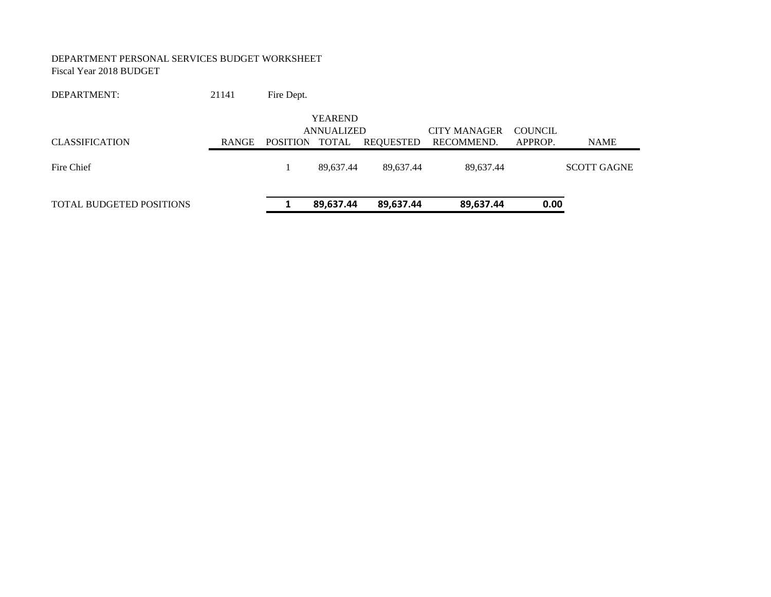#### DEPARTMENT PERSONAL SERVICES BUDGET WORKSHEET Fiscal Year 2018 BUDGET

| DEPARTMENT:                     | 21141        | Fire Dept.      |                              |           |                                   |                           |                    |
|---------------------------------|--------------|-----------------|------------------------------|-----------|-----------------------------------|---------------------------|--------------------|
| <b>CLASSIFICATION</b>           | <b>RANGE</b> |                 | <b>YEAREND</b><br>ANNUALIZED |           | <b>CITY MANAGER</b><br>RECOMMEND. | <b>COUNCIL</b><br>APPROP. |                    |
|                                 |              | <b>POSITION</b> | TOTAL                        | REOUESTED |                                   |                           | <b>NAME</b>        |
| Fire Chief                      |              |                 | 89,637.44                    | 89,637.44 | 89,637.44                         |                           | <b>SCOTT GAGNE</b> |
| <b>TOTAL BUDGETED POSITIONS</b> |              |                 | 89,637.44                    | 89,637.44 | 89,637.44                         | 0.00                      |                    |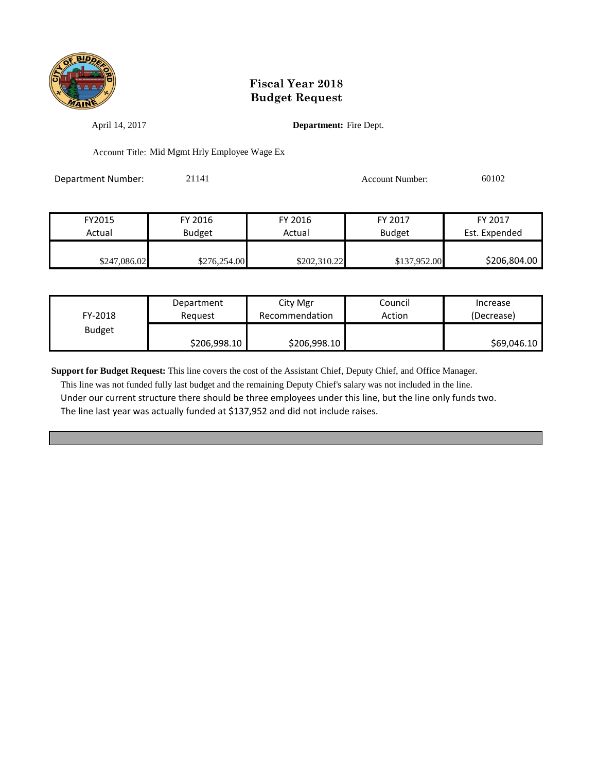

April 14, 2017 **Department:** Fire Dept.

Account Title: Mid Mgmt Hrly Employee Wage Ex

Department Number: 21141 21141 Account Number: 60102

| FY2015       | FY 2016       | FY 2016      | FY 2017       | FY 2017       |
|--------------|---------------|--------------|---------------|---------------|
| Actual       | <b>Budget</b> | Actual       | <b>Budget</b> | Est. Expended |
|              |               |              |               |               |
| \$247,086.02 | \$276,254.00  | \$202,310.22 | \$137,952.00  | \$206,804.00  |

| FY-2018       | Department   | City Mgr       | Council | Increase    |
|---------------|--------------|----------------|---------|-------------|
|               | Reauest      | Recommendation | Action  | (Decrease)  |
| <b>Budget</b> | \$206,998.10 | \$206,998.10   |         | \$69,046.10 |

**Support for Budget Request:** This line covers the cost of the Assistant Chief, Deputy Chief, and Office Manager.

 This line was not funded fully last budget and the remaining Deputy Chief's salary was not included in the line. Under our current structure there should be three employees under this line, but the line only funds two. The line last year was actually funded at \$137,952 and did not include raises.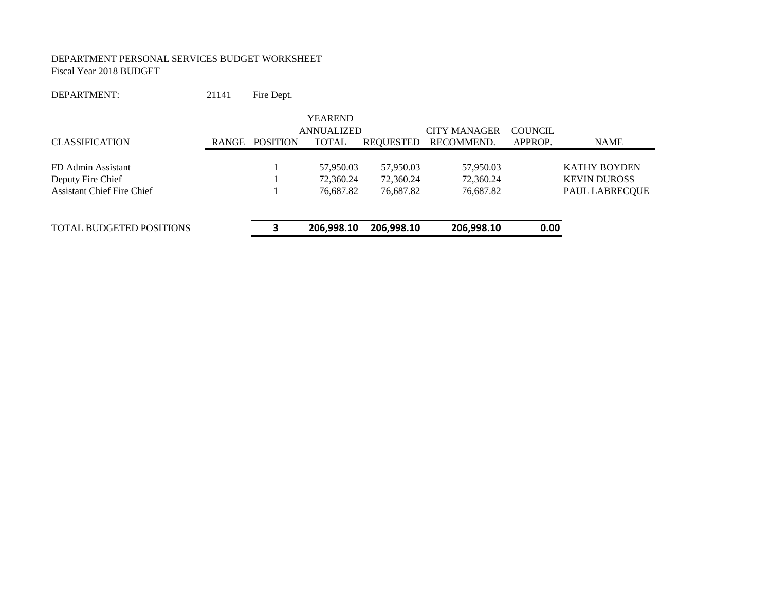#### DEPARTMENT PERSONAL SERVICES BUDGET WORKSHEET Fiscal Year 2018 BUDGET

DEPARTMENT: 21141 Fire Dept.

|                                   |       |                 | <b>YEAREND</b><br>ANNUALIZED |            | <b>CITY MANAGER</b> | <b>COUNCIL</b> |                     |
|-----------------------------------|-------|-----------------|------------------------------|------------|---------------------|----------------|---------------------|
| <b>CLASSIFICATION</b>             | RANGE | <b>POSITION</b> | <b>TOTAL</b>                 | REQUESTED  | RECOMMEND.          | APPROP.        | <b>NAME</b>         |
| FD Admin Assistant                |       |                 | 57,950.03                    | 57,950.03  | 57,950.03           |                | <b>KATHY BOYDEN</b> |
| Deputy Fire Chief                 |       |                 | 72,360.24                    | 72.360.24  | 72,360.24           |                | <b>KEVIN DUROSS</b> |
| <b>Assistant Chief Fire Chief</b> |       |                 | 76,687.82                    | 76,687.82  | 76,687.82           |                | PAUL LABRECQUE      |
|                                   |       |                 |                              |            |                     |                |                     |
| <b>TOTAL BUDGETED POSITIONS</b>   |       |                 | 206,998.10                   | 206.998.10 | 206,998.10          | 0.00           |                     |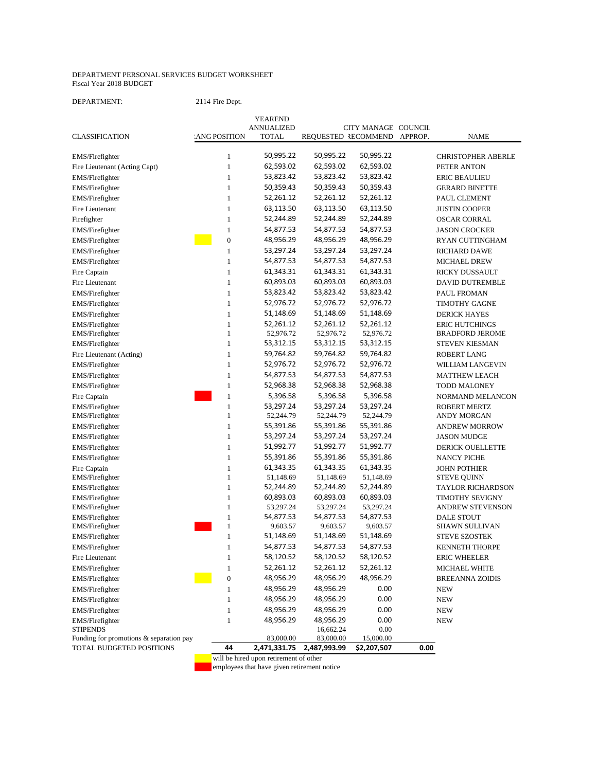#### DEPARTMENT PERSONAL SERVICES BUDGET WORKSHEET Fiscal Year 2018 BUDGET

DEPARTMENT: 2114 Fire Dept.

|                                         |                  | YEAREND           |                     |                     |         |                           |
|-----------------------------------------|------------------|-------------------|---------------------|---------------------|---------|---------------------------|
|                                         |                  | <b>ANNUALIZED</b> |                     | CITY MANAGE COUNCIL |         |                           |
| <b>CLASSIFICATION</b>                   | ANG POSITION     | <b>TOTAL</b>      | REQUESTED RECOMMEND |                     | APPROP. | <b>NAME</b>               |
| EMS/Firefighter                         | 1                | 50,995.22         | 50,995.22           | 50,995.22           |         | <b>CHRISTOPHER ABERLE</b> |
| Fire Lieutenant (Acting Capt)           | $\mathbf{1}$     | 62,593.02         | 62,593.02           | 62,593.02           |         | PETER ANTON               |
| EMS/Firefighter                         | $\mathbf{1}$     | 53,823.42         | 53,823.42           | 53,823.42           |         | <b>ERIC BEAULIEU</b>      |
|                                         | $\mathbf{1}$     | 50,359.43         | 50,359.43           | 50,359.43           |         | <b>GERARD BINETTE</b>     |
| EMS/Firefighter                         |                  | 52,261.12         | 52,261.12           | 52,261.12           |         |                           |
| EMS/Firefighter                         | $\mathbf{1}$     |                   |                     |                     |         | PAUL CLEMENT              |
| Fire Lieutenant                         | $\mathbf{1}$     | 63,113.50         | 63,113.50           | 63,113.50           |         | <b>JUSTIN COOPER</b>      |
| Firefighter                             | $\mathbf{1}$     | 52,244.89         | 52,244.89           | 52,244.89           |         | <b>OSCAR CORRAL</b>       |
| EMS/Firefighter                         | $\mathbf{1}$     | 54,877.53         | 54,877.53           | 54,877.53           |         | <b>JASON CROCKER</b>      |
| EMS/Firefighter                         | $\boldsymbol{0}$ | 48,956.29         | 48,956.29           | 48,956.29           |         | RYAN CUTTINGHAM           |
| EMS/Firefighter                         | $\mathbf{1}$     | 53,297.24         | 53,297.24           | 53,297.24           |         | <b>RICHARD DAWE</b>       |
| EMS/Firefighter                         | $\mathbf{1}$     | 54,877.53         | 54,877.53           | 54,877.53           |         | <b>MICHAEL DREW</b>       |
| Fire Captain                            | $\mathbf{1}$     | 61,343.31         | 61,343.31           | 61,343.31           |         | RICKY DUSSAULT            |
| Fire Lieutenant                         | $\mathbf{1}$     | 60,893.03         | 60,893.03           | 60,893.03           |         | DAVID DUTREMBLE           |
| EMS/Firefighter                         | $\mathbf{1}$     | 53,823.42         | 53,823.42           | 53,823.42           |         | PAUL FROMAN               |
| EMS/Firefighter                         | $\mathbf{1}$     | 52,976.72         | 52,976.72           | 52,976.72           |         | <b>TIMOTHY GAGNE</b>      |
| EMS/Firefighter                         | $\mathbf{1}$     | 51,148.69         | 51,148.69           | 51,148.69           |         | <b>DERICK HAYES</b>       |
| EMS/Firefighter                         | $\mathbf{1}$     | 52,261.12         | 52,261.12           | 52,261.12           |         | <b>ERIC HUTCHINGS</b>     |
| EMS/Firefighter                         | $\mathbf{1}$     | 52,976.72         | 52,976.72           | 52,976.72           |         | <b>BRADFORD JEROME</b>    |
| EMS/Firefighter                         | $\mathbf{1}$     | 53,312.15         | 53,312.15           | 53,312.15           |         | <b>STEVEN KIESMAN</b>     |
| Fire Lieutenant (Acting)                | $\mathbf{1}$     | 59,764.82         | 59,764.82           | 59,764.82           |         | <b>ROBERT LANG</b>        |
| EMS/Firefighter                         | $\mathbf{1}$     | 52,976.72         | 52,976.72           | 52,976.72           |         | WILLIAM LANGEVIN          |
| EMS/Firefighter                         | $\mathbf{1}$     | 54,877.53         | 54,877.53           | 54,877.53           |         | <b>MATTHEW LEACH</b>      |
| EMS/Firefighter                         | $\mathbf{1}$     | 52,968.38         | 52,968.38           | 52,968.38           |         | <b>TODD MALONEY</b>       |
| Fire Captain                            | $\mathbf{1}$     | 5,396.58          | 5,396.58            | 5,396.58            |         | NORMAND MELANCON          |
| EMS/Firefighter                         | $\mathbf{1}$     | 53,297.24         | 53,297.24           | 53,297.24           |         | <b>ROBERT MERTZ</b>       |
| EMS/Firefighter                         | $\mathbf{1}$     | 52,244.79         | 52,244.79           | 52,244.79           |         | <b>ANDY MORGAN</b>        |
| EMS/Firefighter                         | $\mathbf{1}$     | 55,391.86         | 55,391.86           | 55,391.86           |         | <b>ANDREW MORROW</b>      |
| EMS/Firefighter                         | $\mathbf{1}$     | 53,297.24         | 53,297.24           | 53,297.24           |         | <b>JASON MUDGE</b>        |
| EMS/Firefighter                         | $\mathbf{1}$     | 51,992.77         | 51,992.77           | 51,992.77           |         | <b>DERICK OUELLETTE</b>   |
| EMS/Firefighter                         | $\mathbf{1}$     | 55,391.86         | 55,391.86           | 55,391.86           |         | <b>NANCY PICHE</b>        |
| Fire Captain                            | $\mathbf{1}$     | 61,343.35         | 61,343.35           | 61,343.35           |         | <b>JOHN POTHIER</b>       |
| EMS/Firefighter                         | $\mathbf{1}$     | 51,148.69         | 51,148.69           | 51,148.69           |         | <b>STEVE QUINN</b>        |
| EMS/Firefighter                         | $\mathbf{1}$     | 52,244.89         | 52,244.89           | 52,244.89           |         | <b>TAYLOR RICHARDSON</b>  |
| EMS/Firefighter                         | $\mathbf{1}$     | 60,893.03         | 60,893.03           | 60,893.03           |         | <b>TIMOTHY SEVIGNY</b>    |
| EMS/Firefighter                         | $\mathbf{1}$     | 53,297.24         | 53,297.24           | 53,297.24           |         | <b>ANDREW STEVENSON</b>   |
| EMS/Firefighter                         | $\mathbf{1}$     | 54,877.53         | 54,877.53           | 54,877.53           |         | <b>DALE STOUT</b>         |
| EMS/Firefighter                         | 1                | 9,603.57          | 9,603.57            | 9,603.57            |         | <b>SHAWN SULLIVAN</b>     |
| EMS/Firefighter                         | 1                | 51,148.69         | 51,148.69           | 51,148.69           |         | <b>STEVE SZOSTEK</b>      |
| EMS/Firefighter                         | $\mathbf{1}$     | 54,877.53         | 54,877.53           | 54,877.53           |         | <b>KENNETH THORPE</b>     |
| Fire Lieutenant                         | $\mathbf{1}$     | 58,120.52         | 58,120.52           | 58,120.52           |         | <b>ERIC WHEELER</b>       |
| EMS/Firefighter                         | $\mathbf{1}$     | 52,261.12         | 52,261.12           | 52,261.12           |         | MICHAEL WHITE             |
| EMS/Firefighter                         | $\boldsymbol{0}$ | 48,956.29         | 48,956.29           | 48,956.29           |         | <b>BREEANNA ZOIDIS</b>    |
| EMS/Firefighter                         | $\mathbf{1}$     | 48,956.29         | 48,956.29           | 0.00                |         | <b>NEW</b>                |
| EMS/Firefighter                         | $\,1\,$          | 48,956.29         | 48,956.29           | 0.00                |         | <b>NEW</b>                |
| EMS/Firefighter                         | $\,1\,$          | 48,956.29         | 48,956.29           | 0.00                |         | <b>NEW</b>                |
| EMS/Firefighter                         | $\mathbf{1}$     | 48,956.29         | 48,956.29           | 0.00                |         | <b>NEW</b>                |
| <b>STIPENDS</b>                         |                  |                   | 16,662.24           | 0.00                |         |                           |
| Funding for promotions & separation pay |                  | 83,000.00         | 83,000.00           | 15,000.00           |         |                           |
| TOTAL BUDGETED POSITIONS                | 44               | 2,471,331.75      | 2,487,993.99        | \$2,207,507         | 0.00    |                           |

will be hired upon retirement of other

employees that have given retirement notice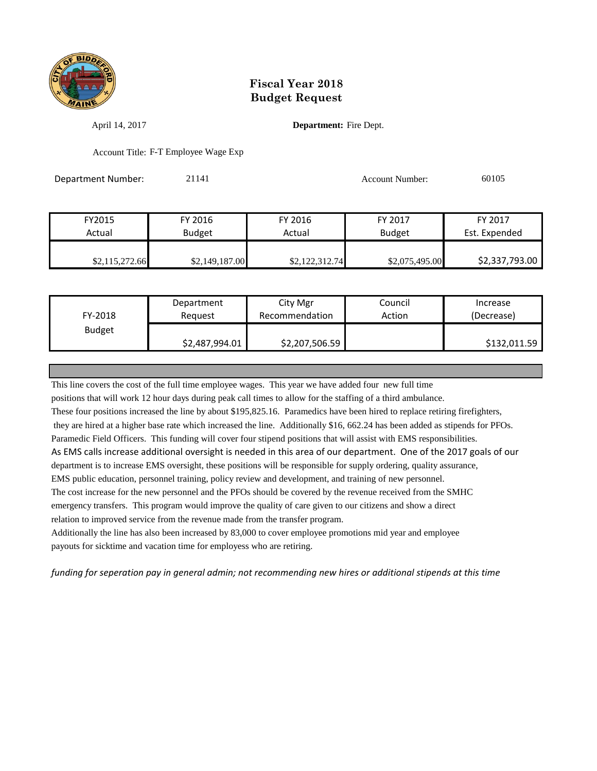

April 14, 2017 **Department:** Fire Dept.

Account Title: F-T Employee Wage Exp

**Department Number:** 21141 20105 20105

| FY2015         | FY 2016        | FY 2016        | FY 2017        | FY 2017        |
|----------------|----------------|----------------|----------------|----------------|
| Actual         | <b>Budget</b>  | Actual         | Budget         | Est. Expended  |
|                |                |                |                |                |
| \$2,115,272.66 | \$2,149,187.00 | \$2,122,312.74 | \$2,075,495.00 | \$2,337,793.00 |

|               | Department     | City Mgr       | Council | Increase     |
|---------------|----------------|----------------|---------|--------------|
| FY-2018       | Reguest        | Recommendation | Action  | (Decrease)   |
| <b>Budget</b> |                |                |         |              |
|               | \$2,487,994.01 | \$2,207,506.59 |         | \$132,011.59 |

This line covers the cost of the full time employee wages. This year we have added four new full time

positions that will work 12 hour days during peak call times to allow for the staffing of a third ambulance.

These four positions increased the line by about \$195,825.16. Paramedics have been hired to replace retiring firefighters,

they are hired at a higher base rate which increased the line. Additionally \$16, 662.24 has been added as stipends for PFOs.

Paramedic Field Officers. This funding will cover four stipend positions that will assist with EMS responsibilities.

As EMS calls increase additional oversight is needed in this area of our department. One of the 2017 goals of our

department is to increase EMS oversight, these positions will be responsible for supply ordering, quality assurance,

EMS public education, personnel training, policy review and development, and training of new personnel.

The cost increase for the new personnel and the PFOs should be covered by the revenue received from the SMHC

emergency transfers. This program would improve the quality of care given to our citizens and show a direct relation to improved service from the revenue made from the transfer program.

Additionally the line has also been increased by 83,000 to cover employee promotions mid year and employee payouts for sicktime and vacation time for employess who are retiring.

*funding for seperation pay in general admin; not recommending new hires or additional stipends at this time*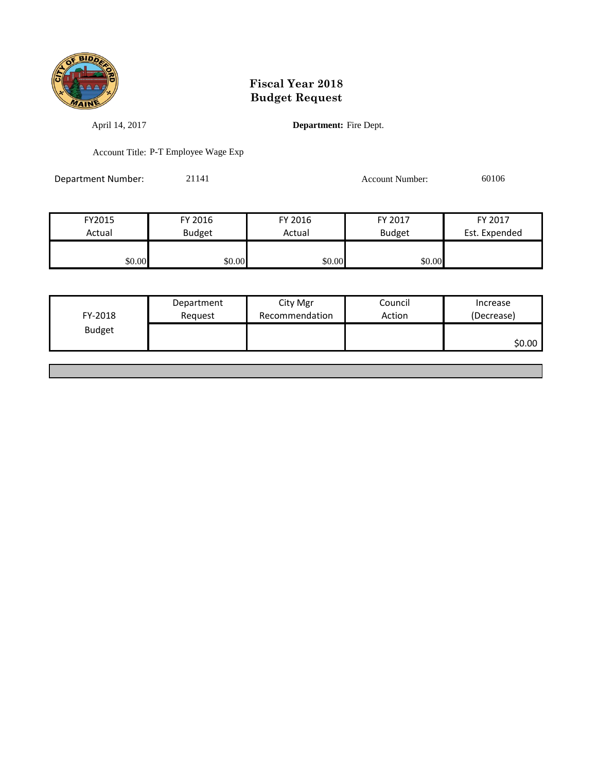

April 14, 2017 **Department:** Fire Dept.

Account Title: P-T Employee Wage Exp

Department Number: 21141 21141 Account Number: 60106

| FY2015 | FY 2016       | FY 2016 | FY 2017       | FY 2017       |
|--------|---------------|---------|---------------|---------------|
| Actual | <b>Budget</b> | Actual  | <b>Budget</b> | Est. Expended |
|        |               |         |               |               |
| \$0.00 | \$0.00        | \$0.00  | \$0.00        |               |

| FY-2018       | Department<br>Reguest | City Mgr<br>Recommendation | Council<br>Action | Increase<br>(Decrease) |
|---------------|-----------------------|----------------------------|-------------------|------------------------|
| <b>Budget</b> |                       |                            |                   | \$0.00                 |
|               |                       |                            |                   |                        |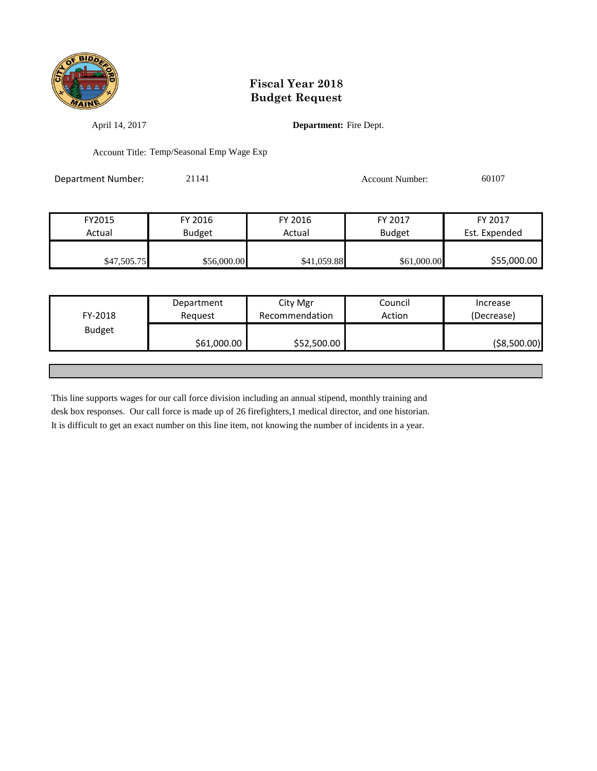

April 14, 2017 **Department:** Fire Dept.

Account Title: Temp/Seasonal Emp Wage Exp

Department Number: 21141 21141 Account Number: 60107

| FY2015      | FY 2016       | FY 2016     | FY 2017       | FY 2017       |
|-------------|---------------|-------------|---------------|---------------|
| Actual      | <b>Budget</b> | Actual      | <b>Budget</b> | Est. Expended |
|             |               |             |               |               |
| \$47,505.75 | \$56,000.00   | \$41,059.88 | \$61,000.00   | \$55,000.00   |

|               | Department  | City Mgr       | Council | Increase      |
|---------------|-------------|----------------|---------|---------------|
| FY-2018       | Request     | Recommendation | Action  | (Decrease)    |
| <b>Budget</b> |             |                |         |               |
|               | \$61,000.00 | \$52,500.00    |         | ( \$8,500.00) |
|               |             |                |         |               |

This line supports wages for our call force division including an annual stipend, monthly training and desk box responses. Our call force is made up of 26 firefighters,1 medical director, and one historian. It is difficult to get an exact number on this line item, not knowing the number of incidents in a year.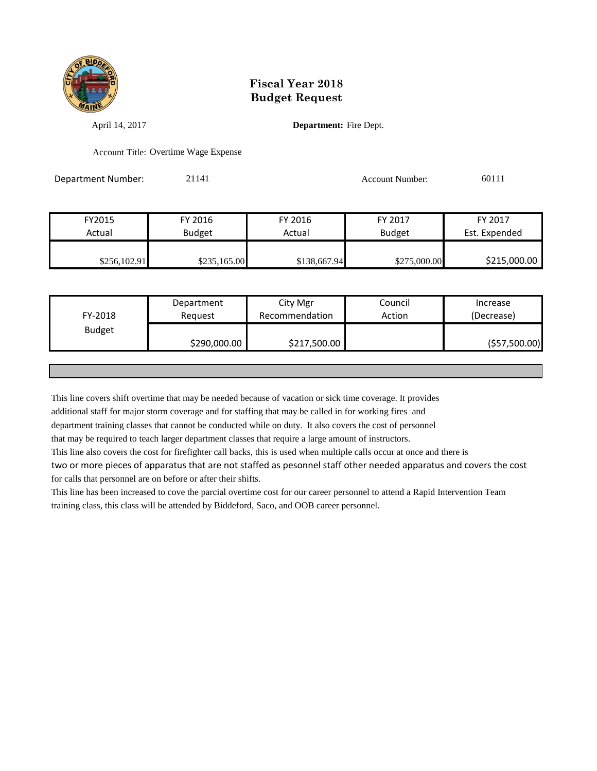

April 14, 2017 **Department:** Fire Dept.

Account Title: Overtime Wage Expense

Department Number: 21141 Account Number: 60111

| FY2015       | FY 2016       | FY 2016      | FY 2017       | FY 2017       |
|--------------|---------------|--------------|---------------|---------------|
| Actual       | <b>Budget</b> | Actual       | <b>Budget</b> | Est. Expended |
|              |               |              |               |               |
| \$256,102.91 | \$235,165.00  | \$138,667.94 | \$275,000.00  | \$215,000.00  |

| FY-2018       | Department<br>Request | City Mgr<br>Recommendation | Council<br>Action | Increase<br>(Decrease) |
|---------------|-----------------------|----------------------------|-------------------|------------------------|
| <b>Budget</b> | \$290,000.00          | \$217,500.00               |                   | ( \$57,500.00)         |
|               |                       |                            |                   |                        |

This line covers shift overtime that may be needed because of vacation or sick time coverage. It provides

additional staff for major storm coverage and for staffing that may be called in for working fires and

department training classes that cannot be conducted while on duty. It also covers the cost of personnel

that may be required to teach larger department classes that require a large amount of instructors.

This line also covers the cost for firefighter call backs, this is used when multiple calls occur at once and there is

two or more pieces of apparatus that are not staffed as pesonnel staff other needed apparatus and covers the cost for calls that personnel are on before or after their shifts.

This line has been increased to cove the parcial overtime cost for our career personnel to attend a Rapid Intervention Team training class, this class will be attended by Biddeford, Saco, and OOB career personnel.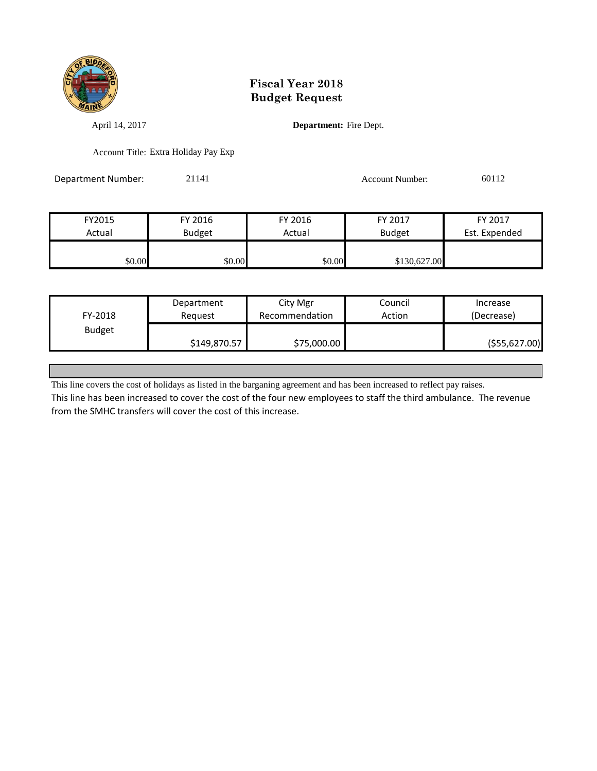

April 14, 2017 **Department:** Fire Dept.

Account Title: Extra Holiday Pay Exp

Department Number: 21141 21141 Account Number: 60112

| FY2015 | FY 2016       | FY 2016 | FY 2017       | FY 2017       |
|--------|---------------|---------|---------------|---------------|
| Actual | <b>Budget</b> | Actual  | <b>Budget</b> | Est. Expended |
|        |               |         |               |               |
| \$0.00 | \$0.00        | \$0.00  | \$130,627.00  |               |

|               | Department   | City Mgr       | Council | Increase       |
|---------------|--------------|----------------|---------|----------------|
| FY-2018       | Reguest      | Recommendation | Action  | (Decrease)     |
| <b>Budget</b> |              |                |         |                |
|               | \$149,870.57 | \$75,000.00    |         | ( \$55,627.00) |

This line covers the cost of holidays as listed in the barganing agreement and has been increased to reflect pay raises.

This line has been increased to cover the cost of the four new employees to staff the third ambulance. The revenue from the SMHC transfers will cover the cost of this increase.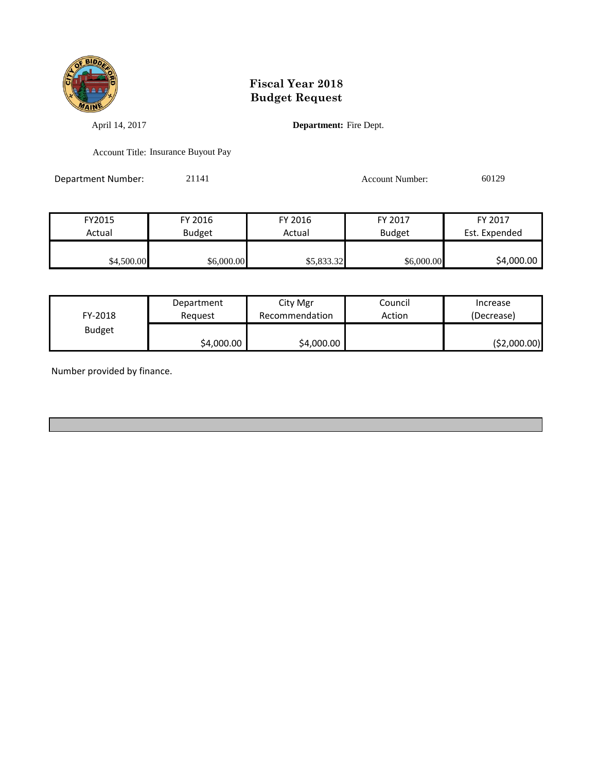

April 14, 2017 **Department:** Fire Dept.

Account Title: Insurance Buyout Pay

Department Number: 21141 Account Number: 60129

| FY2015     | FY 2016       | FY 2016    | FY 2017       | FY 2017       |
|------------|---------------|------------|---------------|---------------|
| Actual     | <b>Budget</b> | Actual     | <b>Budget</b> | Est. Expended |
| \$4,500.00 | \$6,000.00    | \$5,833.32 | \$6,000.00    | \$4,000.00    |

| FY-2018       | Department | City Mgr       | Council | Increase      |
|---------------|------------|----------------|---------|---------------|
|               | Reauest    | Recommendation | Action  | (Decrease)    |
| <b>Budget</b> | \$4,000.00 | \$4,000.00     |         | ( \$2,000.00] |

Number provided by finance.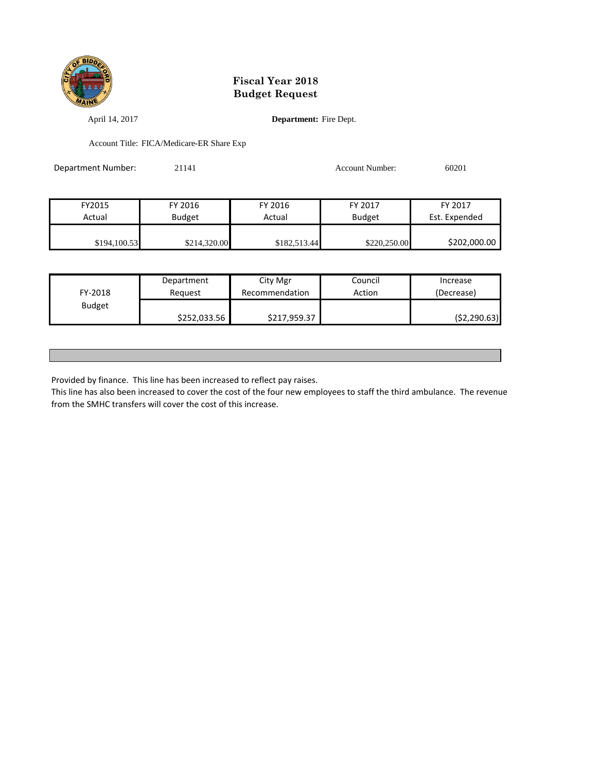

April 14, 2017 **Department:** Fire Dept.

Account Title: FICA/Medicare-ER Share Exp

| Department Number: | 21141         |              | Account Number: | 60201         |
|--------------------|---------------|--------------|-----------------|---------------|
|                    |               |              |                 |               |
| FY2015             | FY 2016       | FY 2016      | FY 2017         | FY 2017       |
| Actual             | <b>Budget</b> | Actual       | <b>Budget</b>   | Est. Expended |
|                    |               |              |                 |               |
| \$194,100.53       | \$214,320.00  | \$182,513.44 | \$220,250.00    | \$202,000.00  |

| FY-2018       | Department   | City Mgr       | Council | Increase     |
|---------------|--------------|----------------|---------|--------------|
|               | Reauest      | Recommendation | Action  | (Decrease)   |
| <b>Budget</b> | \$252,033.56 | \$217,959.37   |         | (52, 290.63) |

Provided by finance. This line has been increased to reflect pay raises.

This line has also been increased to cover the cost of the four new employees to staff the third ambulance. The revenue from the SMHC transfers will cover the cost of this increase.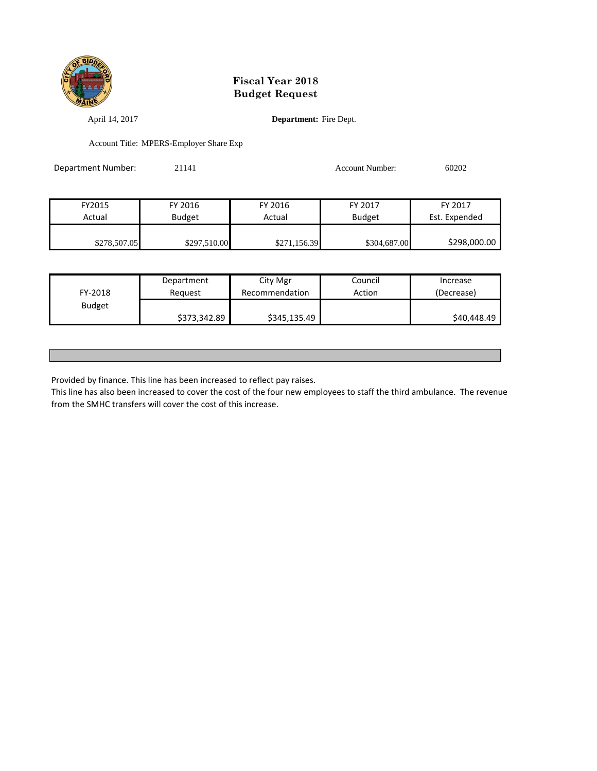

April 14, 2017 **Department:** Fire Dept.

Account Title: MPERS-Employer Share Exp

| Department Number: | 21141         |              | <b>Account Number:</b> | 60202         |
|--------------------|---------------|--------------|------------------------|---------------|
|                    |               |              |                        |               |
| FY2015             | FY 2016       | FY 2016      | FY 2017                | FY 2017       |
| Actual             | <b>Budget</b> | Actual       | <b>Budget</b>          | Est. Expended |
|                    |               |              |                        |               |
| \$278,507.05       | \$297,510.00  | \$271,156.39 | \$304,687.00           | \$298,000.00  |

| FY-2018       | Department   | City Mgr       | Council | Increase    |
|---------------|--------------|----------------|---------|-------------|
|               | Reauest      | Recommendation | Action  | (Decrease)  |
| <b>Budget</b> | \$373,342.89 | \$345,135.49   |         | \$40,448.49 |

Provided by finance. This line has been increased to reflect pay raises.

This line has also been increased to cover the cost of the four new employees to staff the third ambulance. The revenue from the SMHC transfers will cover the cost of this increase.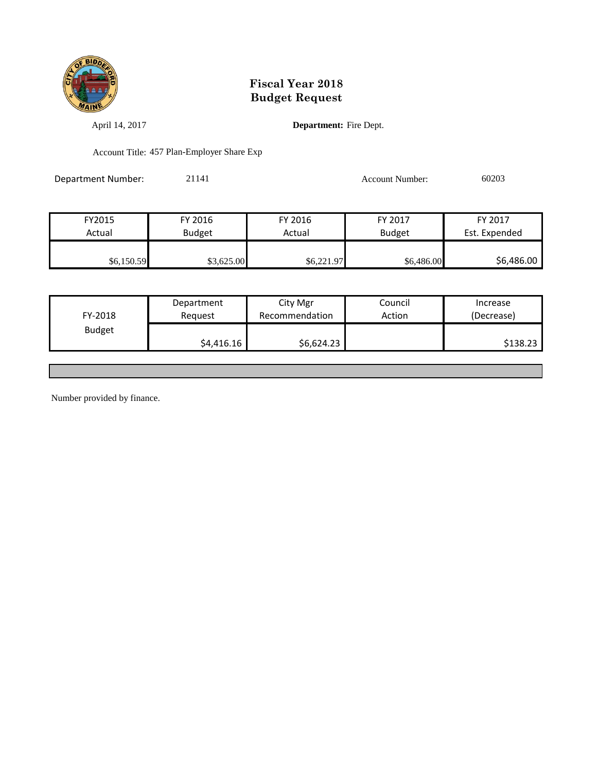

April 14, 2017 **Department:** Fire Dept.

Account Title: 457 Plan-Employer Share Exp

Department Number: 21141 Account Number: 60203

| FY2015     | FY 2016       | FY 2016    | FY 2017       | FY 2017       |
|------------|---------------|------------|---------------|---------------|
| Actual     | <b>Budget</b> | Actual     | <b>Budget</b> | Est. Expended |
|            |               |            |               |               |
| \$6,150.59 | \$3,625.00    | \$6,221.97 | \$6,486.00    | \$6,486.00    |

| FY-2018       | Department<br>Reauest | City Mgr<br>Recommendation | Council<br>Action | Increase<br>(Decrease) |
|---------------|-----------------------|----------------------------|-------------------|------------------------|
| <b>Budget</b> |                       |                            |                   |                        |
|               | \$4,416.16            | \$6,624.23                 |                   | \$138.23               |

Number provided by finance.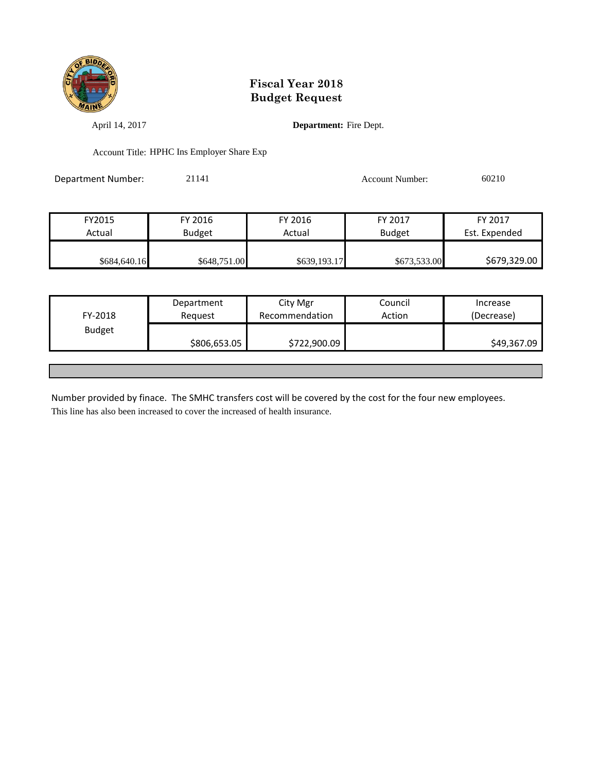

April 14, 2017 **Department:** Fire Dept.

Account Title: HPHC Ins Employer Share Exp

Department Number: 21141 21141 Account Number: 60210

| FY2015       | FY 2016       | FY 2016      | FY 2017       | FY 2017       |
|--------------|---------------|--------------|---------------|---------------|
| Actual       | <b>Budget</b> | Actual       | <b>Budget</b> | Est. Expended |
|              |               |              |               |               |
| \$684,640.16 | \$648,751.00  | \$639,193.17 | \$673,533.00  | \$679,329.00  |

|               | Department   | City Mgr       | Council | Increase    |
|---------------|--------------|----------------|---------|-------------|
| FY-2018       | Request      | Recommendation | Action  | (Decrease)  |
| <b>Budget</b> |              |                |         |             |
|               | \$806,653.05 | \$722,900.09   |         | \$49,367.09 |
|               |              |                |         |             |

Number provided by finace. The SMHC transfers cost will be covered by the cost for the four new employees. This line has also been increased to cover the increased of health insurance.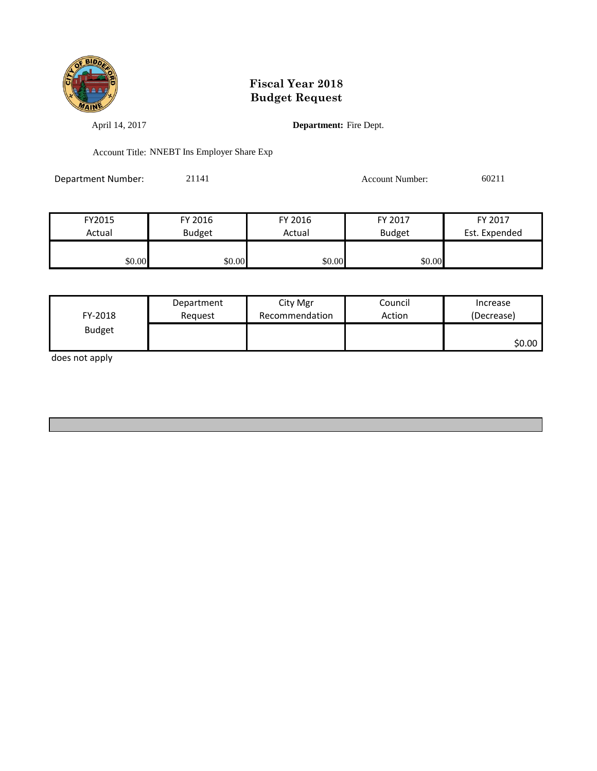

April 14, 2017 **Department:** Fire Dept.

Account Title: NNEBT Ins Employer Share Exp

Department Number: 21141 Account Number: 60211

| FY2015 | FY 2016       | FY 2016 | FY 2017       | FY 2017       |
|--------|---------------|---------|---------------|---------------|
| Actual | <b>Budget</b> | Actual  | <b>Budget</b> | Est. Expended |
| \$0.00 | \$0.00        | \$0.00  | \$0.00        |               |

| FY-2018<br><b>Budget</b> | Department<br>Reauest | City Mgr<br>Recommendation | Council<br>Action | Increase<br>(Decrease) |
|--------------------------|-----------------------|----------------------------|-------------------|------------------------|
|                          |                       |                            |                   | \$0.00                 |

does not apply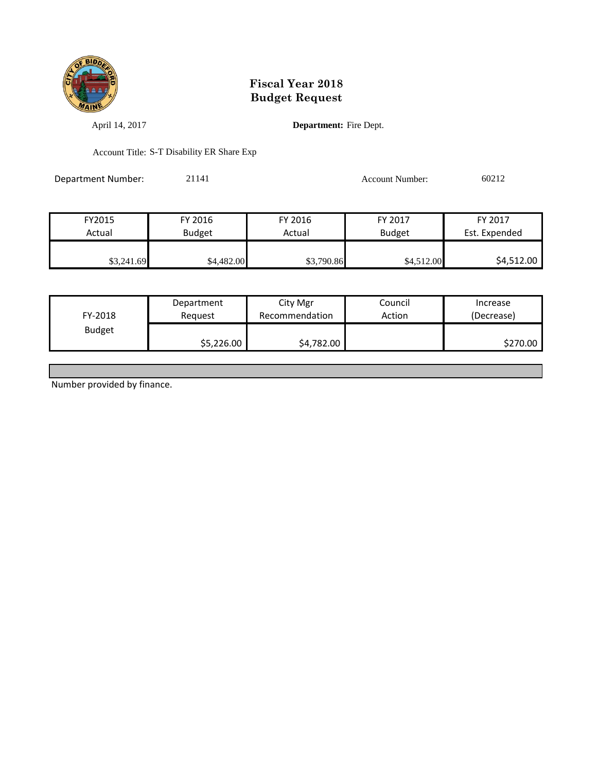

April 14, 2017 **Department:** Fire Dept.

Account Title: S-T Disability ER Share Exp

Department Number: 21141 Account Number: 60212

FY2015 FY 2016 FY 2016 FY 2017 FY 2017 Actual Budget Actual Budget Est. Expended \$3,241.69 \$4,482.00 \$4,482.00 \$3,790.86 \$4,512.00 \$4,512.00 \$4,512.00

| FY-2018       | Department | City Mgr       | Council | Increase   |
|---------------|------------|----------------|---------|------------|
|               | Reauest    | Recommendation | Action  | (Decrease) |
| <b>Budget</b> | \$5,226.00 | \$4,782.00     |         | \$270.00   |

Number provided by finance.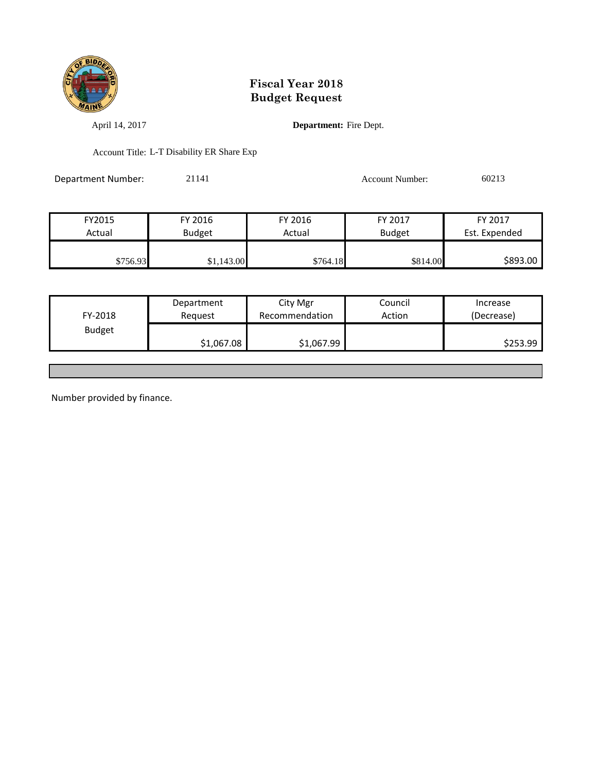

April 14, 2017 **Department:** Fire Dept.

Account Title: L-T Disability ER Share Exp

Department Number: 21141 Account Number: 60213

| FY2015   | FY 2016    | FY 2016  | FY 2017       | FY 2017       |
|----------|------------|----------|---------------|---------------|
| Actual   | Budget     | Actual   | <b>Budget</b> | Est. Expended |
|          |            |          |               |               |
| \$756.93 | \$1,143.00 | \$764.18 | \$814.00      | \$893.00      |

|               | Department | City Mgr       | Council | Increase   |
|---------------|------------|----------------|---------|------------|
| FY-2018       | Reguest    | Recommendation | Action  | (Decrease) |
| <b>Budget</b> |            |                |         |            |
|               | \$1,067.08 | \$1,067.99     |         | \$253.99   |

Number provided by finance.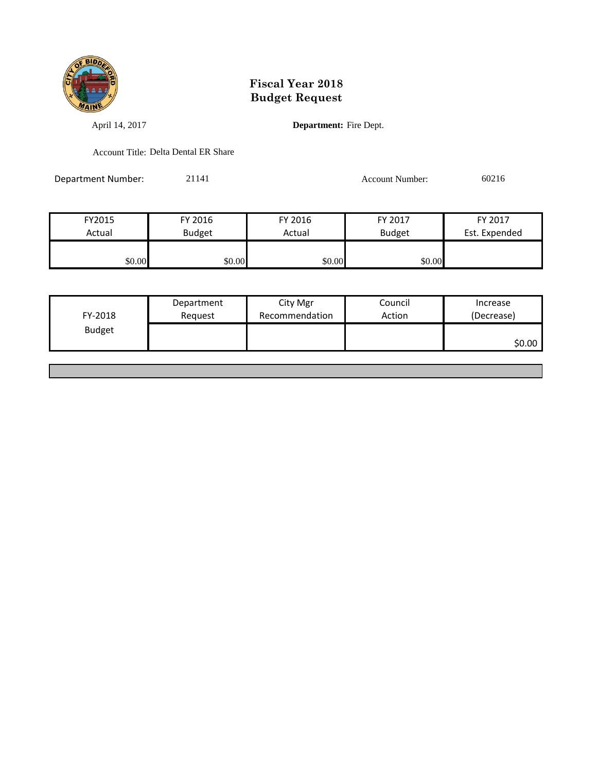

April 14, 2017 **Department:** Fire Dept.

Account Title: Delta Dental ER Share

Department Number: 21141 Account Number: 60216

FY2015 FY 2016 FY 2016 FY 2017 FY 2017 Actual Budget Actual Budget Est. Expended \$0.00 \$0.00 \$0.00 \$0.00 \$0.00

| <b>Budget</b> | FY-2018 | Department<br>Request | City Mgr<br>Recommendation | Council<br>Action | Increase<br>(Decrease) |
|---------------|---------|-----------------------|----------------------------|-------------------|------------------------|
|               |         |                       |                            |                   | \$0.00                 |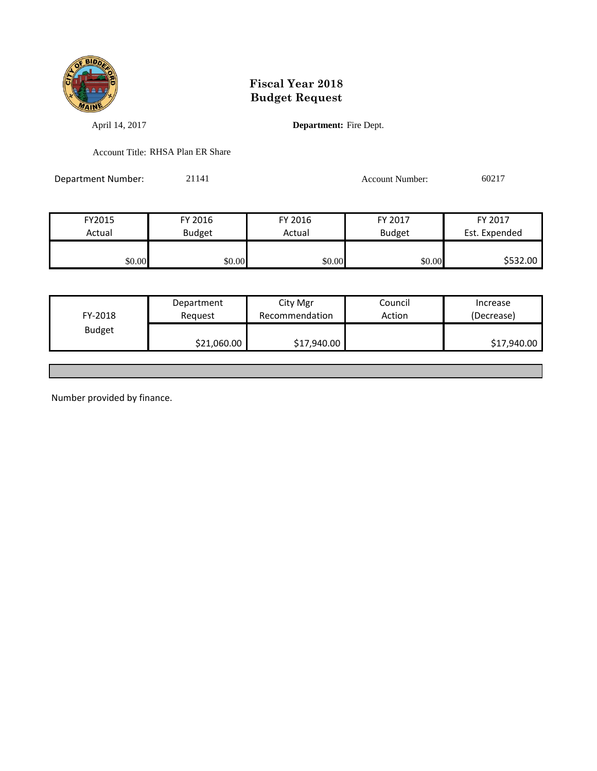

April 14, 2017 **Department:** Fire Dept.

Account Title: RHSA Plan ER Share

Department Number: 21141 Account Number: 60217

| FY2015 | FY 2016       | FY 2016 | FY 2017       | FY 2017       |
|--------|---------------|---------|---------------|---------------|
| Actual | <b>Budget</b> | Actual  | <b>Budget</b> | Est. Expended |
|        |               |         |               |               |
| \$0.00 | \$0.00        | \$0.00  | \$0.00        | \$532.00      |

|               | Department  | City Mgr       | Council | Increase    |
|---------------|-------------|----------------|---------|-------------|
| FY-2018       | Reguest     | Recommendation | Action  | (Decrease)  |
| <b>Budget</b> |             |                |         |             |
|               | \$21,060.00 | \$17,940.00    |         | \$17,940.00 |
|               |             |                |         |             |

Number provided by finance.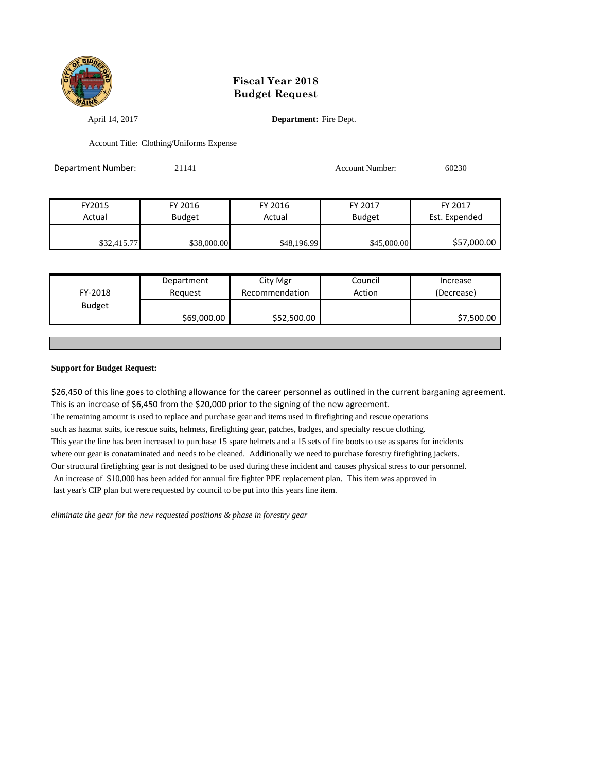

April 14, 2017 **Department:** Fire Dept.

Account Title: Clothing/Uniforms Expense

| Department Number: | 21141         |             | Account Number: | 60230         |
|--------------------|---------------|-------------|-----------------|---------------|
|                    |               |             |                 |               |
| FY2015             | FY 2016       | FY 2016     | FY 2017         | FY 2017       |
| Actual             | <b>Budget</b> | Actual      | <b>Budget</b>   | Est. Expended |
|                    |               |             |                 |               |
| \$32,415.77        | \$38,000.00   | \$48,196.99 | \$45,000.00     | \$57,000.00   |

| FY-2018<br>Action<br>Recommendation<br>(Decrease)<br>Reauest<br><b>Budget</b> | Department | City Mgr | Council | Increase   |
|-------------------------------------------------------------------------------|------------|----------|---------|------------|
|                                                                               |            |          |         |            |
|                                                                               |            |          |         |            |
| \$69,000.00<br>\$52,500.00                                                    |            |          |         | \$7,500.00 |

#### **Support for Budget Request:**

\$26,450 of this line goes to clothing allowance for the career personnel as outlined in the current barganing agreement. This is an increase of \$6,450 from the \$20,000 prior to the signing of the new agreement. The remaining amount is used to replace and purchase gear and items used in firefighting and rescue operations such as hazmat suits, ice rescue suits, helmets, firefighting gear, patches, badges, and specialty rescue clothing. This year the line has been increased to purchase 15 spare helmets and a 15 sets of fire boots to use as spares for incidents where our gear is conataminated and needs to be cleaned. Additionally we need to purchase forestry firefighting jackets. Our structural firefighting gear is not designed to be used during these incident and causes physical stress to our personnel. An increase of \$10,000 has been added for annual fire fighter PPE replacement plan. This item was approved in last year's CIP plan but were requested by council to be put into this years line item.

*eliminate the gear for the new requested positions & phase in forestry gear*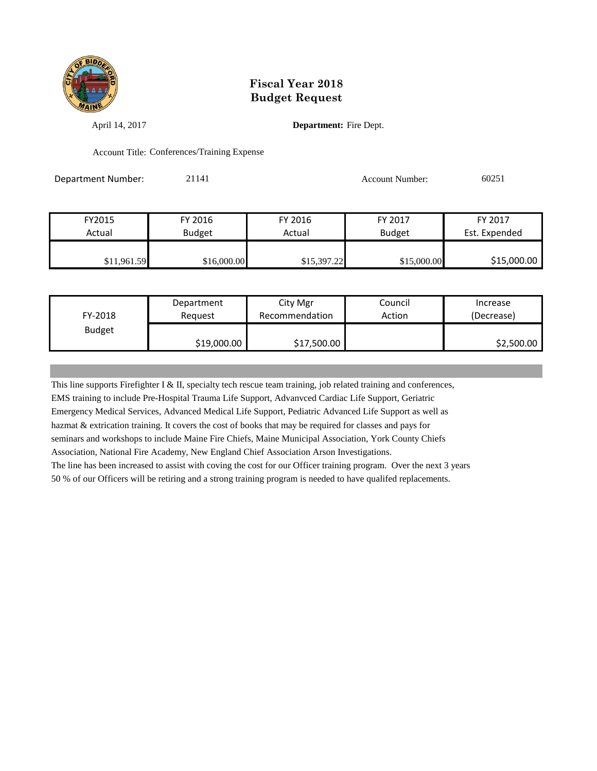

April 14, 2017 **Department:** Fire Dept.

Account Title: Conferences/Training Expense

Department Number: 21141 Account Number: 60251

| FY2015      | FY 2016       | FY 2016     | FY 2017       | FY 2017       |
|-------------|---------------|-------------|---------------|---------------|
| Actual      | <b>Budget</b> | Actual      | <b>Budget</b> | Est. Expended |
|             |               |             |               |               |
| \$11,961.59 | \$16,000.00   | \$15,397.22 | \$15,000.00   | \$15,000.00   |

| FY-2018       | Department  | City Mgr       | Council | Increase   |
|---------------|-------------|----------------|---------|------------|
|               | Reauest     | Recommendation | Action  | (Decrease) |
| <b>Budget</b> | \$19,000.00 | \$17,500.00    |         | \$2,500.00 |

This line supports Firefighter I & II, specialty tech rescue team training, job related training and conferences, EMS training to include Pre-Hospital Trauma Life Support, Advanvced Cardiac Life Support, Geriatric Emergency Medical Services, Advanced Medical Life Support, Pediatric Advanced Life Support as well as hazmat & extrication training. It covers the cost of books that may be required for classes and pays for seminars and workshops to include Maine Fire Chiefs, Maine Municipal Association, York County Chiefs Association, National Fire Academy, New England Chief Association Arson Investigations. The line has been increased to assist with coving the cost for our Officer training program. Over the next 3 years 50 % of our Officers will be retiring and a strong training program is needed to have qualifed replacements.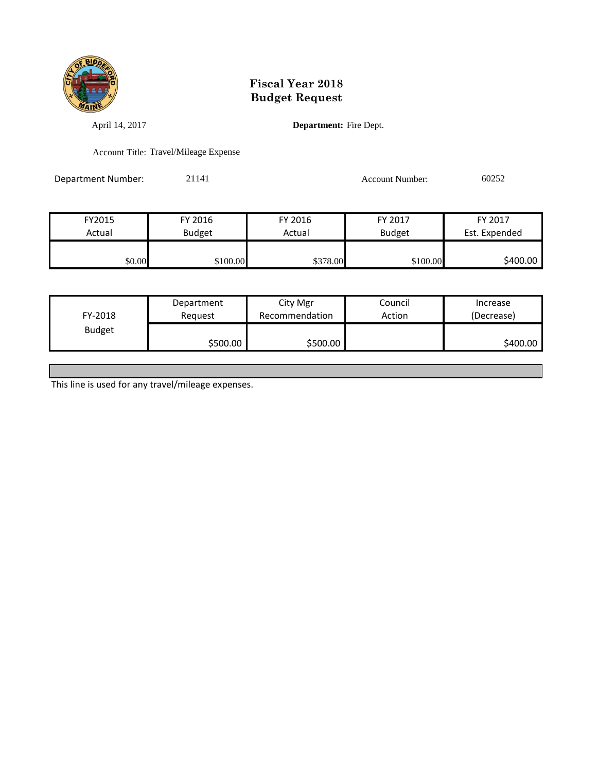

April 14, 2017 **Department:** Fire Dept.

Account Title: Travel/Mileage Expense

Department Number: 21141 Account Number: 60252

| FY2015 | FY 2016       | FY 2016  | FY 2017       | FY 2017       |
|--------|---------------|----------|---------------|---------------|
| Actual | <b>Budget</b> | Actual   | <b>Budget</b> | Est. Expended |
|        |               |          |               |               |
| \$0.00 | \$100.00      | \$378.00 | \$100.00      | \$400.00      |

| FY-2018       | Department | City Mgr       | Council | Increase   |
|---------------|------------|----------------|---------|------------|
|               | Reauest    | Recommendation | Action  | (Decrease) |
| <b>Budget</b> | \$500.00   | \$500.00       |         | \$400.00   |

This line is used for any travel/mileage expenses.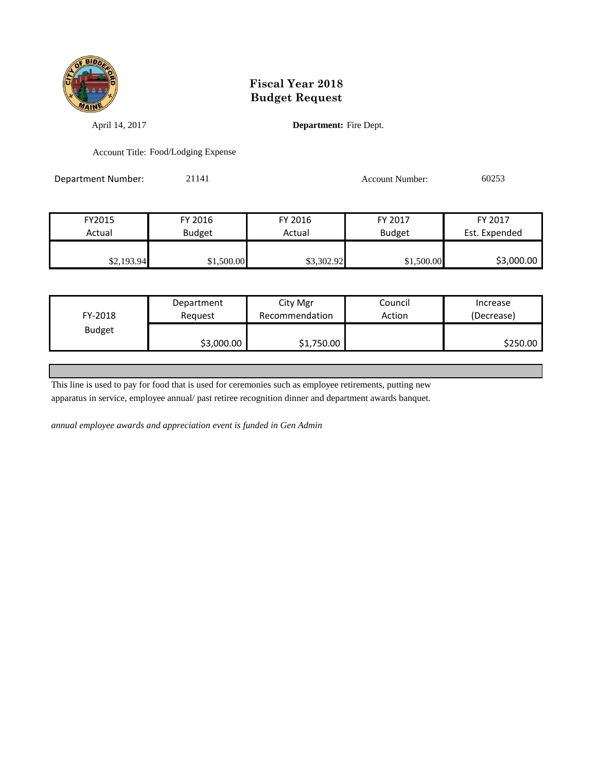

April 14, 2017 **Department:** Fire Dept.

Account Title: Food/Lodging Expense

Department Number: 21141 21141 Account Number: 60253

| FY2015     | FY 2016       | FY 2016    | FY 2017       | FY 2017       |
|------------|---------------|------------|---------------|---------------|
| Actual     | <b>Budget</b> | Actual     | <b>Budget</b> | Est. Expended |
|            |               |            |               |               |
| \$2,193.94 | \$1,500.00    | \$3,302.92 | \$1,500.00    | \$3,000.00    |

|               | Department | City Mgr       | Council | Increase   |
|---------------|------------|----------------|---------|------------|
| FY-2018       | Reguest    | Recommendation | Action  | (Decrease) |
| <b>Budget</b> |            |                |         |            |
|               | \$3,000.00 | \$1,750.00     |         | \$250.00   |

This line is used to pay for food that is used for ceremonies such as employee retirements, putting new

apparatus in service, employee annual/ past retiree recognition dinner and department awards banquet.

*annual employee awards and appreciation event is funded in Gen Admin*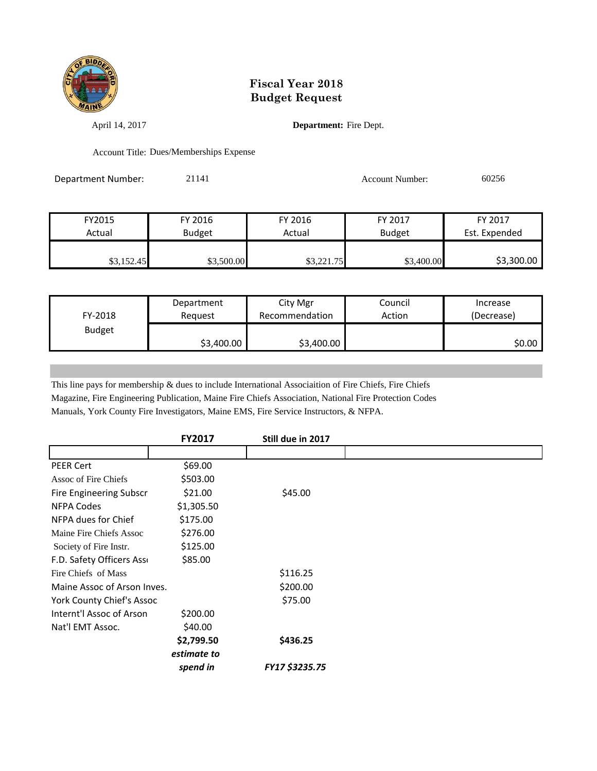

April 14, 2017 **Department:** Fire Dept.

Account Title: Dues/Memberships Expense

Department Number: 21141 21141 Account Number: 60256

FY2015 FY 2016 FY 2016 FY 2017 FY 2017 Actual Budget Actual Budget Est. Expended \$3,152.45 \$3,500.00 \$3,221.75 \$3,400.00 \$3,300.00

| FY-2018       | Department | City Mgr       | Council | Increase   |
|---------------|------------|----------------|---------|------------|
|               | Reauest    | Recommendation | Action  | (Decrease) |
| <b>Budget</b> | \$3,400.00 | \$3,400.00     |         | \$0.00     |

This line pays for membership & dues to include International Associaition of Fire Chiefs, Fire Chiefs Magazine, Fire Engineering Publication, Maine Fire Chiefs Association, National Fire Protection Codes Manuals, York County Fire Investigators, Maine EMS, Fire Service Instructors, & NFPA.

|                             | <b>FY2017</b> | Still due in 2017     |  |
|-----------------------------|---------------|-----------------------|--|
|                             |               |                       |  |
| <b>PEER Cert</b>            | \$69.00       |                       |  |
| Assoc of Fire Chiefs        | \$503.00      |                       |  |
| Fire Engineering Subscr     | \$21.00       | \$45.00               |  |
| <b>NFPA Codes</b>           | \$1,305.50    |                       |  |
| NFPA dues for Chief         | \$175.00      |                       |  |
| Maine Fire Chiefs Assoc     | \$276.00      |                       |  |
| Society of Fire Instr.      | \$125.00      |                       |  |
| F.D. Safety Officers Asso   | \$85.00       |                       |  |
| Fire Chiefs of Mass         |               | \$116.25              |  |
| Maine Assoc of Arson Inves. |               | \$200.00              |  |
| York County Chief's Assoc   |               | \$75.00               |  |
| Internt'l Assoc of Arson    | \$200.00      |                       |  |
| Nat'l EMT Assoc.            | \$40.00       |                       |  |
|                             | \$2,799.50    | \$436.25              |  |
|                             | estimate to   |                       |  |
|                             | spend in      | <b>FY17 \$3235.75</b> |  |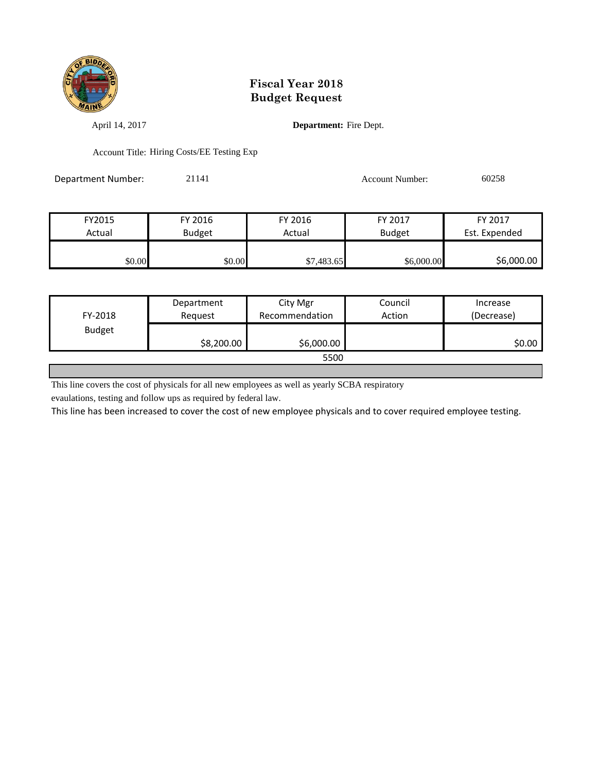

April 14, 2017 **Department:** Fire Dept.

Account Title: Hiring Costs/EE Testing Exp

Department Number: 21141 21141 Account Number: 60258

| FY2015 | FY 2016       | FY 2016    | FY 2017       | FY 2017       |
|--------|---------------|------------|---------------|---------------|
| Actual | <b>Budget</b> | Actual     | <b>Budget</b> | Est. Expended |
|        |               |            |               |               |
| \$0.00 | \$0.00        | \$7,483.65 | \$6,000.00    | \$6,000.00    |

|               | Department | City Mgr       | Council | Increase   |
|---------------|------------|----------------|---------|------------|
| FY-2018       | Request    | Recommendation | Action  | (Decrease) |
| <b>Budget</b> |            |                |         |            |
|               | \$8,200.00 | \$6,000.00     |         | \$0.00     |
| 5500          |            |                |         |            |

This line covers the cost of physicals for all new employees as well as yearly SCBA respiratory

evaulations, testing and follow ups as required by federal law.

This line has been increased to cover the cost of new employee physicals and to cover required employee testing.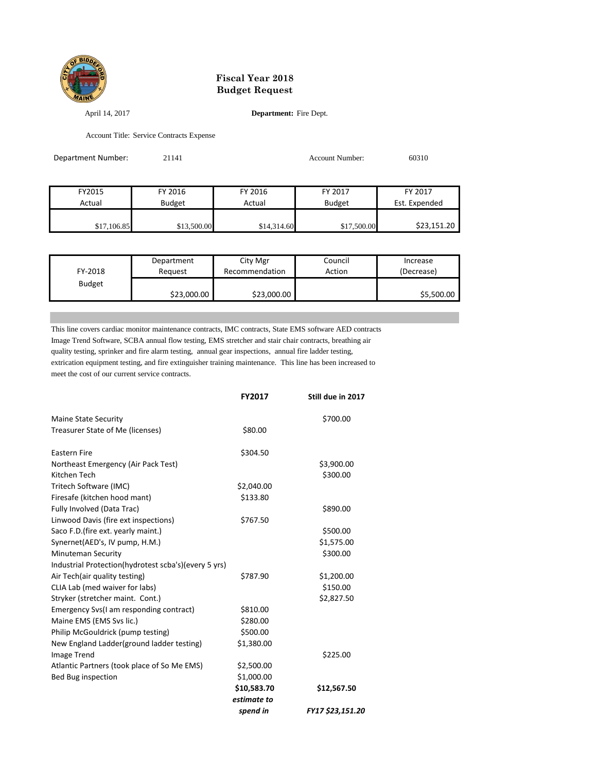

April 14, 2017 **Department:** Fire Dept.

Account Title: Service Contracts Expense

| Department Number: | 21141         |             | Account Number: | 60310         |
|--------------------|---------------|-------------|-----------------|---------------|
|                    |               |             |                 |               |
| FY2015             | FY 2016       | FY 2016     | FY 2017         | FY 2017       |
| Actual             | <b>Budget</b> | Actual      | <b>Budget</b>   | Est. Expended |
| \$17,106.85        | \$13,500.00   | \$14,314.60 | \$17,500.00     | \$23,151.20   |

| FY-2018       | Department  | City Mgr       | Council | Increase   |
|---------------|-------------|----------------|---------|------------|
|               | Reauest     | Recommendation | Action  | (Decrease) |
| <b>Budget</b> | \$23,000.00 | \$23,000.00    |         | \$5,500.00 |

This line covers cardiac monitor maintenance contracts, IMC contracts, State EMS software AED contracts Image Trend Software, SCBA annual flow testing, EMS stretcher and stair chair contracts, breathing air quality testing, sprinker and fire alarm testing, annual gear inspections, annual fire ladder testing, extrication equipment testing, and fire extinguisher training maintenance. This line has been increased to meet the cost of our current service contracts.

|                                                      | <b>FY2017</b> | Still due in 2017       |
|------------------------------------------------------|---------------|-------------------------|
| <b>Maine State Security</b>                          |               | \$700.00                |
| Treasurer State of Me (licenses)                     | \$80.00       |                         |
| <b>Eastern Fire</b>                                  | \$304.50      |                         |
| Northeast Emergency (Air Pack Test)                  |               | \$3,900.00              |
| Kitchen Tech                                         |               | \$300.00                |
| Tritech Software (IMC)                               | \$2,040.00    |                         |
| Firesafe (kitchen hood mant)                         | \$133.80      |                         |
| Fully Involved (Data Trac)                           |               | \$890.00                |
| Linwood Davis (fire ext inspections)                 | \$767.50      |                         |
| Saco F.D. (fire ext. yearly maint.)                  |               | \$500.00                |
| Synernet(AED's, IV pump, H.M.)                       |               | \$1,575.00              |
| <b>Minuteman Security</b>                            |               | \$300.00                |
| Industrial Protection(hydrotest scba's)(every 5 yrs) |               |                         |
| Air Tech(air quality testing)                        | \$787.90      | \$1,200.00              |
| CLIA Lab (med waiver for labs)                       |               | \$150.00                |
| Stryker (stretcher maint. Cont.)                     |               | \$2,827.50              |
| Emergency Svs(I am responding contract)              | \$810.00      |                         |
| Maine EMS (EMS Svs lic.)                             | \$280.00      |                         |
| Philip McGouldrick (pump testing)                    | \$500.00      |                         |
| New England Ladder(ground ladder testing)            | \$1,380.00    |                         |
| Image Trend                                          |               | \$225.00                |
| Atlantic Partners (took place of So Me EMS)          | \$2,500.00    |                         |
| Bed Bug inspection                                   | \$1,000.00    |                         |
|                                                      | \$10,583.70   | \$12,567.50             |
|                                                      | estimate to   |                         |
|                                                      | spend in      | <b>FY17 \$23,151.20</b> |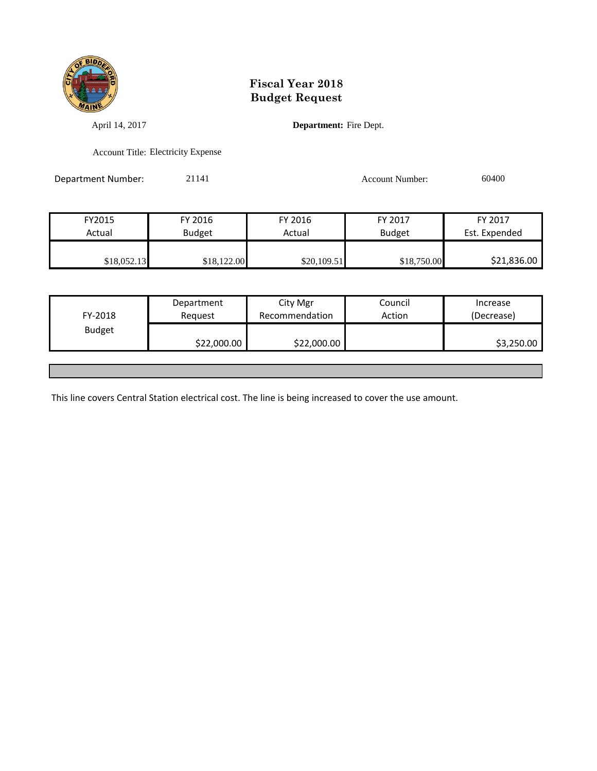

April 14, 2017 **Department:** Fire Dept.

Account Title: Electricity Expense

Department Number: 21141 21141 Account Number: 60400

| FY2015      | FY 2016       | FY 2016     | FY 2017       | FY 2017       |
|-------------|---------------|-------------|---------------|---------------|
| Actual      | <b>Budget</b> | Actual      | <b>Budget</b> | Est. Expended |
|             |               |             |               |               |
| \$18,052.13 | \$18,122.00   | \$20,109.51 | \$18,750.00   | \$21,836.00   |

| FY-2018       | Department<br>Reguest | City Mgr<br>Recommendation | Council<br>Action | Increase<br>(Decrease) |
|---------------|-----------------------|----------------------------|-------------------|------------------------|
| <b>Budget</b> | \$22,000.00           | \$22,000.00                |                   | \$3,250.00             |
|               |                       |                            |                   |                        |

This line covers Central Station electrical cost. The line is being increased to cover the use amount.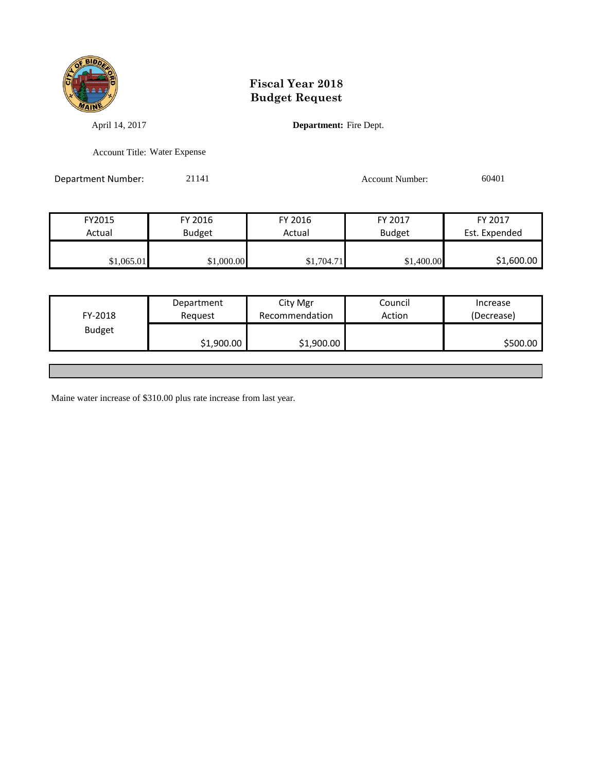

April 14, 2017 **Department:** Fire Dept.

Account Title: Water Expense

Department Number: 21141 21141 Account Number: 60401

| FY2015     | FY 2016       | FY 2016    | FY 2017       | FY 2017       |
|------------|---------------|------------|---------------|---------------|
| Actual     | <b>Budget</b> | Actual     | <b>Budget</b> | Est. Expended |
|            |               |            |               |               |
| \$1,065.01 | \$1,000.00    | \$1,704.71 | \$1,400.00    | \$1,600.00    |

| FY-2018       | Department<br>Request | City Mgr<br>Recommendation | Council<br>Action | Increase<br>(Decrease) |
|---------------|-----------------------|----------------------------|-------------------|------------------------|
| <b>Budget</b> |                       |                            |                   |                        |
|               | \$1,900.00            | \$1,900.00                 |                   | \$500.00               |
|               |                       |                            |                   |                        |

Maine water increase of \$310.00 plus rate increase from last year.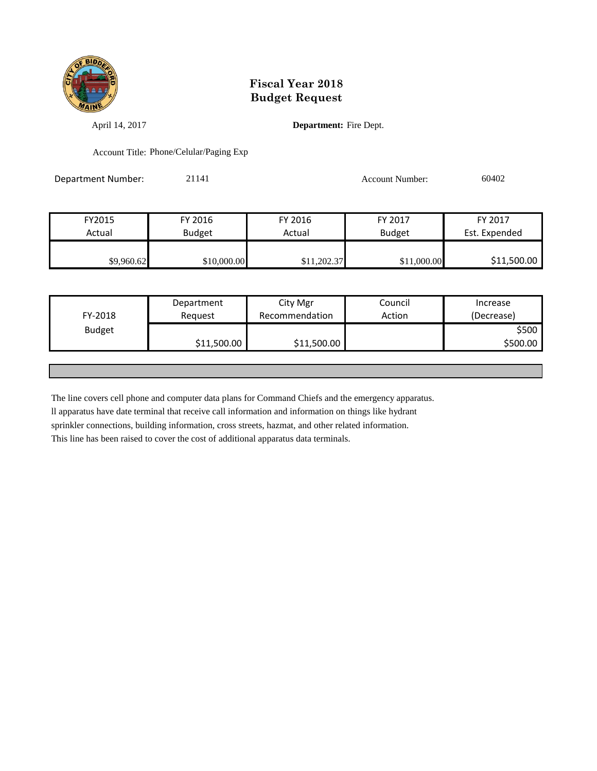

April 14, 2017 **Department:** Fire Dept.

Account Title: Phone/Celular/Paging Exp

Department Number: 21141 21141 Account Number: 60402

| FY2015     | FY 2016       | FY 2016     | FY 2017       | FY 2017       |
|------------|---------------|-------------|---------------|---------------|
| Actual     | <b>Budget</b> | Actual      | <b>Budget</b> | Est. Expended |
|            |               |             |               |               |
| \$9,960.62 | \$10,000.00   | \$11,202.37 | \$11,000.00   | \$11,500.00   |

|                          | Department  | City Mgr       | Council | Increase            |
|--------------------------|-------------|----------------|---------|---------------------|
| FY-2018<br><b>Budget</b> | Request     | Recommendation | Action  | (Decrease)<br>\$500 |
|                          | \$11,500.00 | \$11,500.00    |         | \$500.00            |
|                          |             |                |         |                     |

The line covers cell phone and computer data plans for Command Chiefs and the emergency apparatus.

ll apparatus have date terminal that receive call information and information on things like hydrant

sprinkler connections, building information, cross streets, hazmat, and other related information.

This line has been raised to cover the cost of additional apparatus data terminals.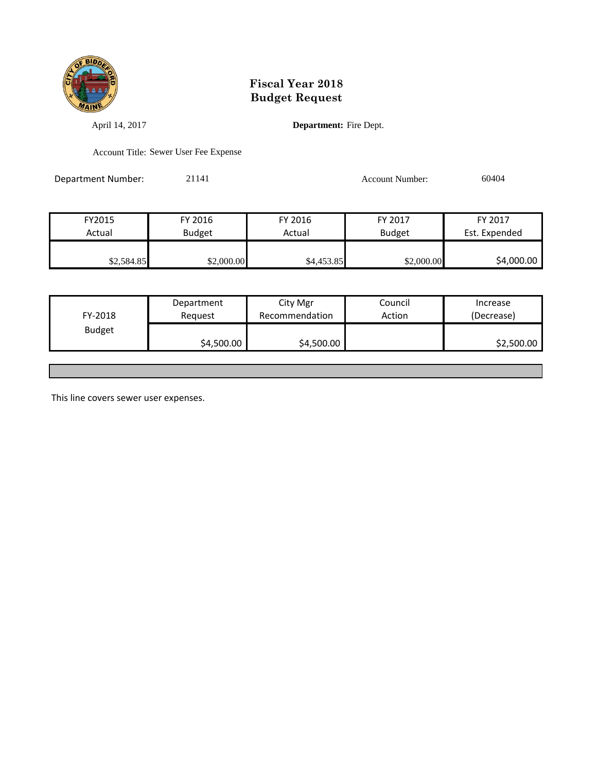

April 14, 2017 **Department:** Fire Dept.

Account Title: Sewer User Fee Expense

Department Number: 21141 21141 Account Number: 60404

| FY2015     | FY 2016       | FY 2016    | FY 2017       | FY 2017       |
|------------|---------------|------------|---------------|---------------|
| Actual     | <b>Budget</b> | Actual     | <b>Budget</b> | Est. Expended |
|            |               |            |               |               |
| \$2,584.85 | \$2,000.00    | \$4,453.85 | \$2,000.00    | \$4,000.00    |

| FY-2018       | Department<br>Reguest | City Mgr<br>Recommendation | Council<br>Action | Increase<br>(Decrease) |
|---------------|-----------------------|----------------------------|-------------------|------------------------|
| <b>Budget</b> | \$4,500.00            | \$4,500.00                 |                   | \$2,500.00             |
|               |                       |                            |                   |                        |

This line covers sewer user expenses.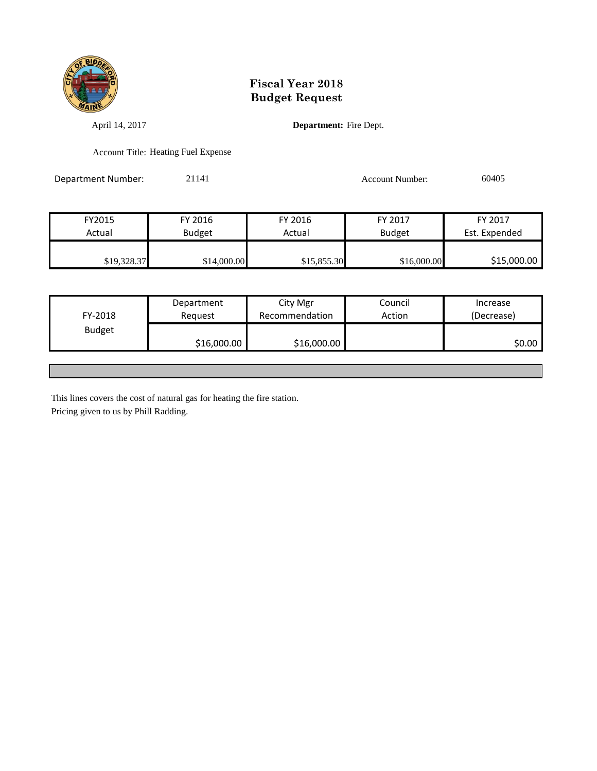

April 14, 2017 **Department:** Fire Dept.

Account Title: Heating Fuel Expense

Department Number: 21141 21141 Account Number: 60405

| FY2015      | FY 2016       | FY 2016     | FY 2017       | FY 2017       |
|-------------|---------------|-------------|---------------|---------------|
| Actual      | <b>Budget</b> | Actual      | <b>Budget</b> | Est. Expended |
|             |               |             |               |               |
| \$19,328.37 | \$14,000.00   | \$15,855.30 | \$16,000.00   | \$15,000.00   |

| FY-2018       | Department<br>Reguest | City Mgr<br>Recommendation | Council<br>Action | Increase<br>(Decrease) |
|---------------|-----------------------|----------------------------|-------------------|------------------------|
| <b>Budget</b> | \$16,000.00           | \$16,000.00                |                   | \$0.00                 |
|               |                       |                            |                   |                        |

This lines covers the cost of natural gas for heating the fire station. Pricing given to us by Phill Radding.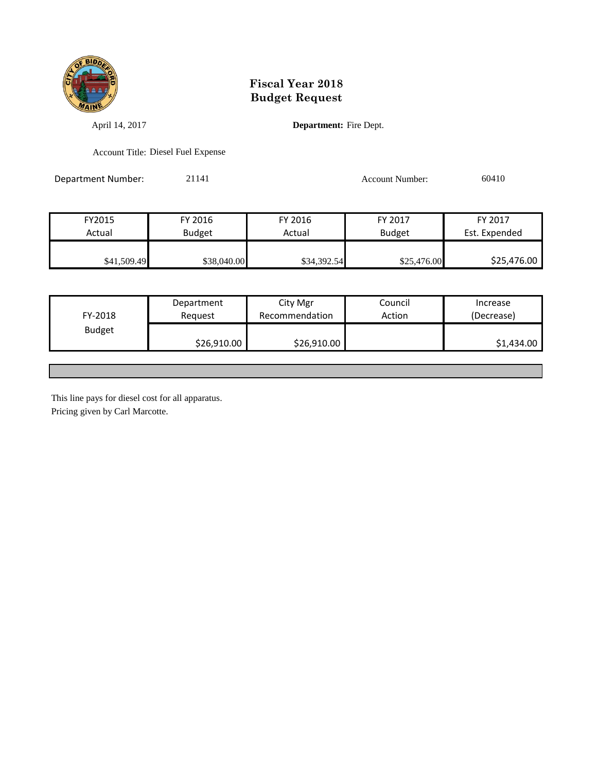

April 14, 2017 **Department:** Fire Dept.

Account Title: Diesel Fuel Expense

Department Number: 21141 21141 Account Number: 60410

| FY2015      | FY 2016       | FY 2016     | FY 2017       | FY 2017       |
|-------------|---------------|-------------|---------------|---------------|
| Actual      | <b>Budget</b> | Actual      | <b>Budget</b> | Est. Expended |
|             |               |             |               |               |
| \$41,509.49 | \$38,040.00   | \$34,392.54 | \$25,476.00   | \$25,476.00   |

| FY-2018       | Department<br>Reauest | City Mgr<br>Recommendation | Council<br>Action | Increase<br>(Decrease) |
|---------------|-----------------------|----------------------------|-------------------|------------------------|
| <b>Budget</b> | \$26,910.00           | \$26,910.00                |                   | \$1,434.00             |
|               |                       |                            |                   |                        |

This line pays for diesel cost for all apparatus. Pricing given by Carl Marcotte.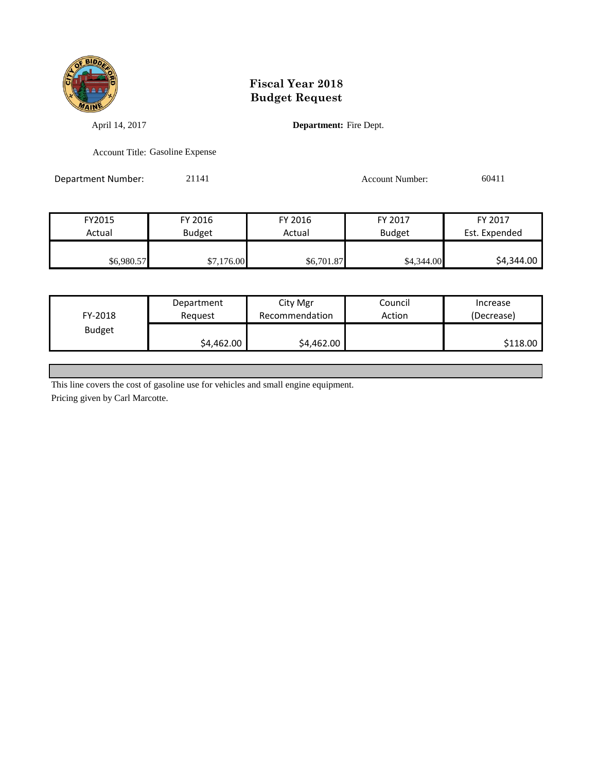

April 14, 2017 **Department:** Fire Dept.

Account Title: Gasoline Expense

Department Number: 21141 21141 Account Number: 60411

FY2015 FY 2016 FY 2016 FY 2017 FY 2017 Actual Budget Actual Budget Est. Expended \$6,980.57 \$7,176.00 \$6,701.87 \$6,701.87 \$4,344.00

| FY-2018       | Department | City Mgr       | Council | Increase   |
|---------------|------------|----------------|---------|------------|
|               | Reguest    | Recommendation | Action  | (Decrease) |
| <b>Budget</b> | \$4,462.00 | \$4,462.00     |         | \$118.00   |

This line covers the cost of gasoline use for vehicles and small engine equipment.

Pricing given by Carl Marcotte.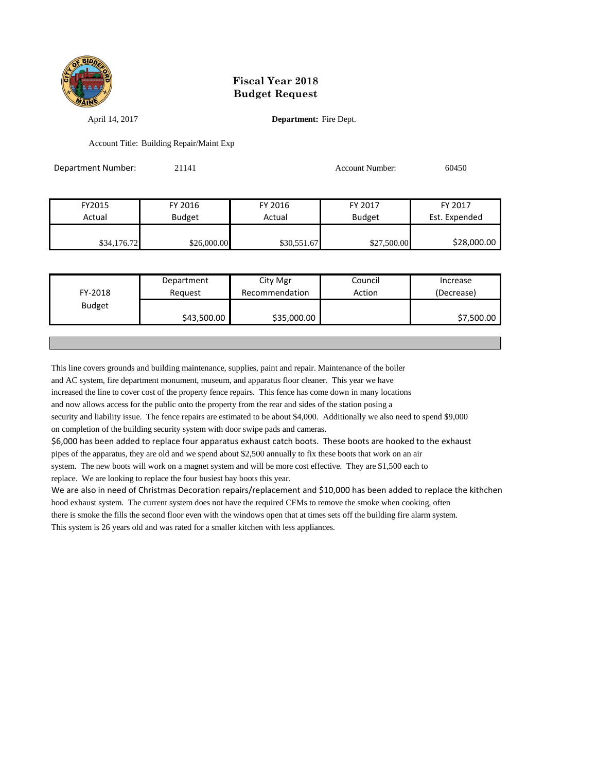

April 14, 2017 **Department:** Fire Dept.

Account Title: Building Repair/Maint Exp

| Department Number: | 21141         |             | <b>Account Number:</b> | 60450         |
|--------------------|---------------|-------------|------------------------|---------------|
|                    |               |             |                        |               |
| FY2015             | FY 2016       | FY 2016     | FY 2017                | FY 2017       |
| Actual             | <b>Budget</b> | Actual      | <b>Budget</b>          | Est. Expended |
|                    |               |             |                        |               |
| \$34,176.72        | \$26,000.00   | \$30,551.67 | \$27,500.00            | \$28,000.00   |

| FY-2018       | Department<br>Reauest | City Mgr<br>Recommendation | Council<br>Action | Increase<br>(Decrease) |
|---------------|-----------------------|----------------------------|-------------------|------------------------|
| <b>Budget</b> |                       |                            |                   |                        |
|               | \$43,500.00           | \$35,000.00                |                   | \$7,500.00             |
|               |                       |                            |                   |                        |

This line covers grounds and building maintenance, supplies, paint and repair. Maintenance of the boiler and AC system, fire department monument, museum, and apparatus floor cleaner. This year we have increased the line to cover cost of the property fence repairs. This fence has come down in many locations and now allows access for the public onto the property from the rear and sides of the station posing a security and liability issue. The fence repairs are estimated to be about \$4,000. Additionally we also need to spend \$9,000 on completion of the building security system with door swipe pads and cameras.

\$6,000 has been added to replace four apparatus exhaust catch boots. These boots are hooked to the exhaust pipes of the apparatus, they are old and we spend about \$2,500 annually to fix these boots that work on an air system. The new boots will work on a magnet system and will be more cost effective. They are \$1,500 each to

replace. We are looking to replace the four busiest bay boots this year.

We are also in need of Christmas Decoration repairs/replacement and \$10,000 has been added to replace the kithchen hood exhaust system. The current system does not have the required CFMs to remove the smoke when cooking, often there is smoke the fills the second floor even with the windows open that at times sets off the building fire alarm system. This system is 26 years old and was rated for a smaller kitchen with less appliances.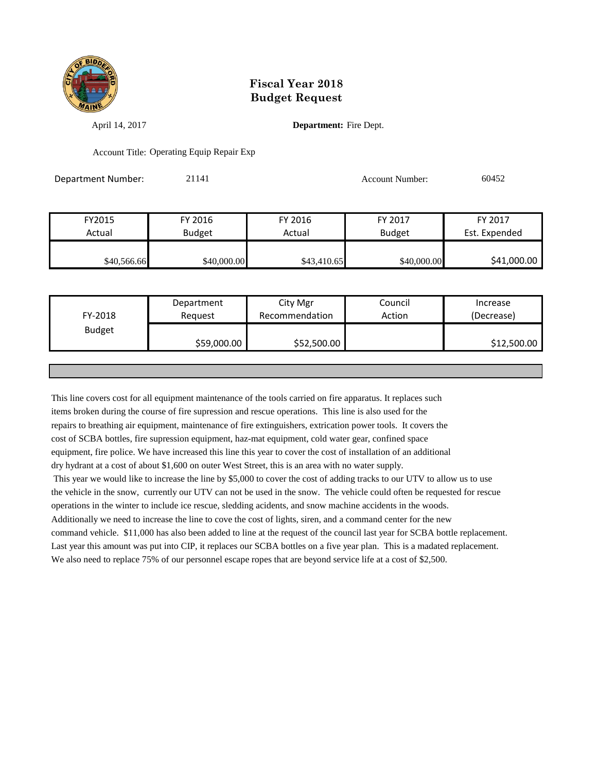

April 14, 2017 **Department:** Fire Dept.

Account Title: Operating Equip Repair Exp

Department Number: 21141 Account Number: 60452

| FY2015      | FY 2016       | FY 2016     | FY 2017       | FY 2017       |
|-------------|---------------|-------------|---------------|---------------|
| Actual      | <b>Budget</b> | Actual      | <b>Budget</b> | Est. Expended |
|             |               |             |               |               |
| \$40,566.66 | \$40,000.00   | \$43,410.65 | \$40,000.00   | \$41,000.00   |

| FY-2018       | Department<br>Reguest | City Mgr<br>Recommendation | Council<br>Action | Increase<br>(Decrease) |
|---------------|-----------------------|----------------------------|-------------------|------------------------|
| <b>Budget</b> | \$59,000.00           | \$52,500.00                |                   | \$12,500.00            |
|               |                       |                            |                   |                        |

This line covers cost for all equipment maintenance of the tools carried on fire apparatus. It replaces such items broken during the course of fire supression and rescue operations. This line is also used for the repairs to breathing air equipment, maintenance of fire extinguishers, extrication power tools. It covers the cost of SCBA bottles, fire supression equipment, haz-mat equipment, cold water gear, confined space equipment, fire police. We have increased this line this year to cover the cost of installation of an additional dry hydrant at a cost of about \$1,600 on outer West Street, this is an area with no water supply. This year we would like to increase the line by \$5,000 to cover the cost of adding tracks to our UTV to allow us to use the vehicle in the snow, currently our UTV can not be used in the snow. The vehicle could often be requested for rescue operations in the winter to include ice rescue, sledding acidents, and snow machine accidents in the woods. Additionally we need to increase the line to cove the cost of lights, siren, and a command center for the new command vehicle. \$11,000 has also been added to line at the request of the council last year for SCBA bottle replacement. Last year this amount was put into CIP, it replaces our SCBA bottles on a five year plan. This is a madated replacement. We also need to replace 75% of our personnel escape ropes that are beyond service life at a cost of \$2,500.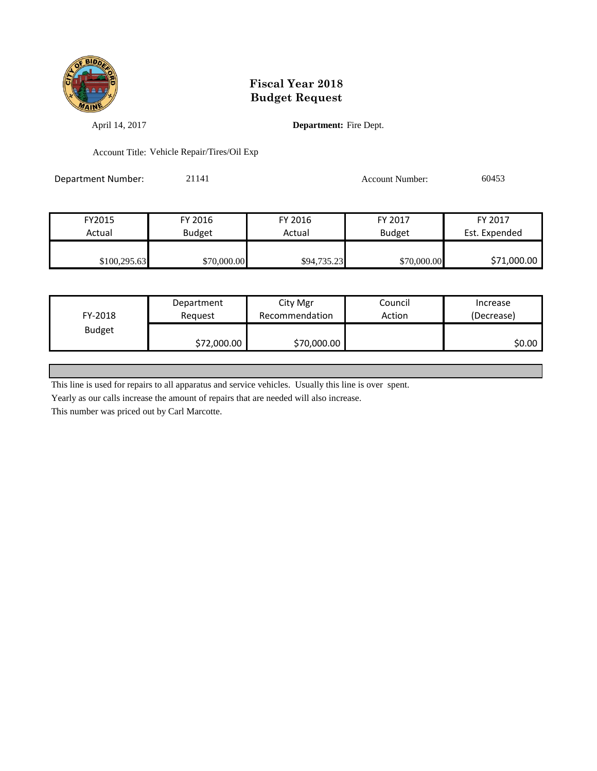

April 14, 2017 **Department:** Fire Dept.

Account Title: Vehicle Repair/Tires/Oil Exp

Department Number: 21141 21141 Account Number: 60453

| FY2015       | FY 2016       | FY 2016     | FY 2017       | FY 2017       |
|--------------|---------------|-------------|---------------|---------------|
| Actual       | <b>Budget</b> | Actual      | <b>Budget</b> | Est. Expended |
|              |               |             |               |               |
| \$100,295.63 | \$70,000.00   | \$94,735.23 | \$70,000.00   | \$71,000.00   |

|               | Department  | City Mgr       | Council | Increase   |
|---------------|-------------|----------------|---------|------------|
| FY-2018       | Reguest     | Recommendation | Action  | (Decrease) |
| <b>Budget</b> |             |                |         |            |
|               | \$72,000.00 | \$70,000.00    |         | SO.OO      |

This line is used for repairs to all apparatus and service vehicles. Usually this line is over spent.

Yearly as our calls increase the amount of repairs that are needed will also increase.

This number was priced out by Carl Marcotte.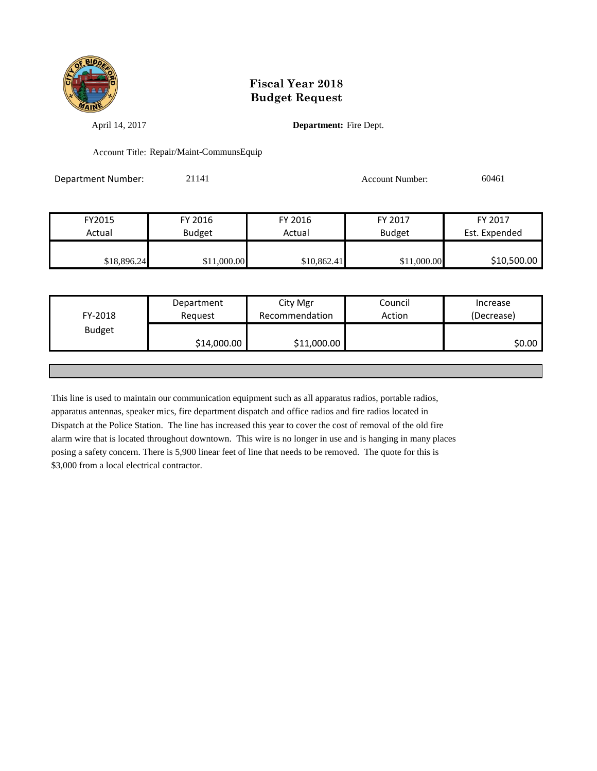

April 14, 2017 **Department:** Fire Dept.

Account Title: Repair/Maint-CommunsEquip

Department Number: 21141 21141 Account Number: 60461

| FY2015      | FY 2016       | FY 2016     | FY 2017       | FY 2017       |
|-------------|---------------|-------------|---------------|---------------|
| Actual      | <b>Budget</b> | Actual      | <b>Budget</b> | Est. Expended |
|             |               |             |               |               |
| \$18,896.24 | \$11,000.00   | \$10,862.41 | \$11,000.00   | \$10,500.00   |

|               | Department  | City Mgr       | Council | Increase   |
|---------------|-------------|----------------|---------|------------|
| FY-2018       | Request     | Recommendation | Action  | (Decrease) |
| <b>Budget</b> |             |                |         |            |
|               | \$14,000.00 | \$11,000.00    |         | \$0.00     |
|               |             |                |         |            |

This line is used to maintain our communication equipment such as all apparatus radios, portable radios, apparatus antennas, speaker mics, fire department dispatch and office radios and fire radios located in Dispatch at the Police Station. The line has increased this year to cover the cost of removal of the old fire alarm wire that is located throughout downtown. This wire is no longer in use and is hanging in many places posing a safety concern. There is 5,900 linear feet of line that needs to be removed. The quote for this is \$3,000 from a local electrical contractor.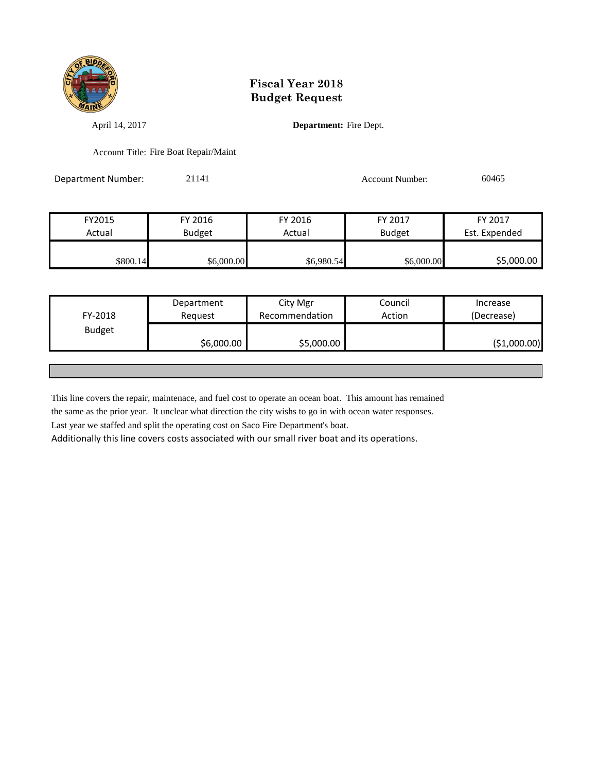

April 14, 2017 **Department:** Fire Dept.

Account Title: Fire Boat Repair/Maint

Department Number: 21141 21141 Account Number: 60465

| FY2015   | FY 2016       | FY 2016    | FY 2017       | FY 2017       |
|----------|---------------|------------|---------------|---------------|
| Actual   | <b>Budget</b> | Actual     | <b>Budget</b> | Est. Expended |
|          |               |            |               |               |
| \$800.14 | \$6,000.00    | \$6,980.54 | \$6,000.00    | \$5,000.00    |

| FY-2018       | Department<br>Reguest | City Mgr<br>Recommendation | Council<br>Action | Increase<br>(Decrease) |
|---------------|-----------------------|----------------------------|-------------------|------------------------|
| <b>Budget</b> | \$6,000.00            | \$5,000.00                 |                   | (\$1,000.00)           |
|               |                       |                            |                   |                        |

This line covers the repair, maintenace, and fuel cost to operate an ocean boat. This amount has remained

the same as the prior year. It unclear what direction the city wishs to go in with ocean water responses.

Last year we staffed and split the operating cost on Saco Fire Department's boat.

Additionally this line covers costs associated with our small river boat and its operations.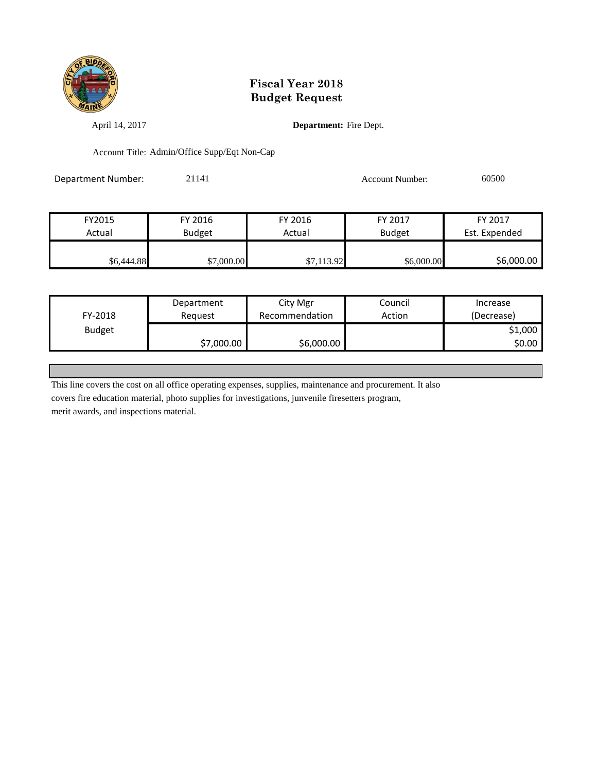

April 14, 2017 **Department:** Fire Dept.

Account Title: Admin/Office Supp/Eqt Non-Cap

Department Number: 21141 21141 Account Number: 60500

| FY2015     | FY 2016       | FY 2016    | FY 2017       | FY 2017       |
|------------|---------------|------------|---------------|---------------|
| Actual     | <b>Budget</b> | Actual     | <b>Budget</b> | Est. Expended |
|            |               |            |               |               |
| \$6,444.88 | \$7,000.00    | \$7,113.92 | \$6,000.00    | \$6,000.00    |

|               | Department | City Mgr       | Council | Increase   |
|---------------|------------|----------------|---------|------------|
| FY-2018       | Reguest    | Recommendation | Action  | (Decrease) |
| <b>Budget</b> |            |                |         | \$1,000    |
|               | \$7,000.00 | \$6,000.00     |         | \$0.00 l   |

This line covers the cost on all office operating expenses, supplies, maintenance and procurement. It also

covers fire education material, photo supplies for investigations, junvenile firesetters program,

merit awards, and inspections material.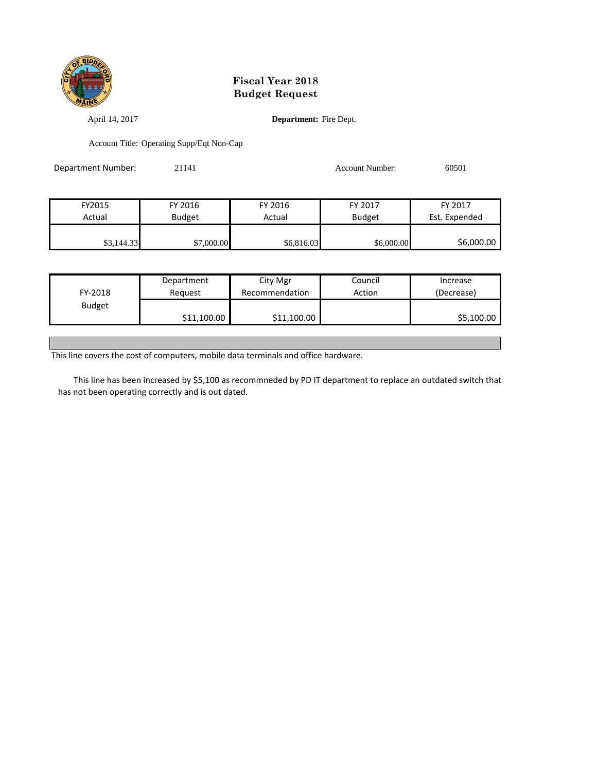

April 14, 2017 **Department:** Fire Dept.

Account Title: Operating Supp/Eqt Non-Cap

| Department Number: | 21141         |            | <b>Account Number:</b> | 60501         |
|--------------------|---------------|------------|------------------------|---------------|
|                    |               |            |                        |               |
| FY2015             | FY 2016       | FY 2016    | FY 2017                | FY 2017       |
| Actual             | <b>Budget</b> | Actual     | <b>Budget</b>          | Est. Expended |
| \$3,144.33         | \$7,000.00    | \$6,816.03 | \$6,000.00             | \$6,000.00    |

|               | Department  | City Mgr       | Council | Increase   |
|---------------|-------------|----------------|---------|------------|
| FY-2018       | Reauest     | Recommendation | Action  | (Decrease) |
| <b>Budget</b> |             |                |         |            |
|               | \$11,100.00 | \$11,100.00    |         | \$5,100.00 |

This line covers the cost of computers, mobile data terminals and office hardware.

 This line has been increased by \$5,100 as recommneded by PD IT department to replace an outdated switch that has not been operating correctly and is out dated.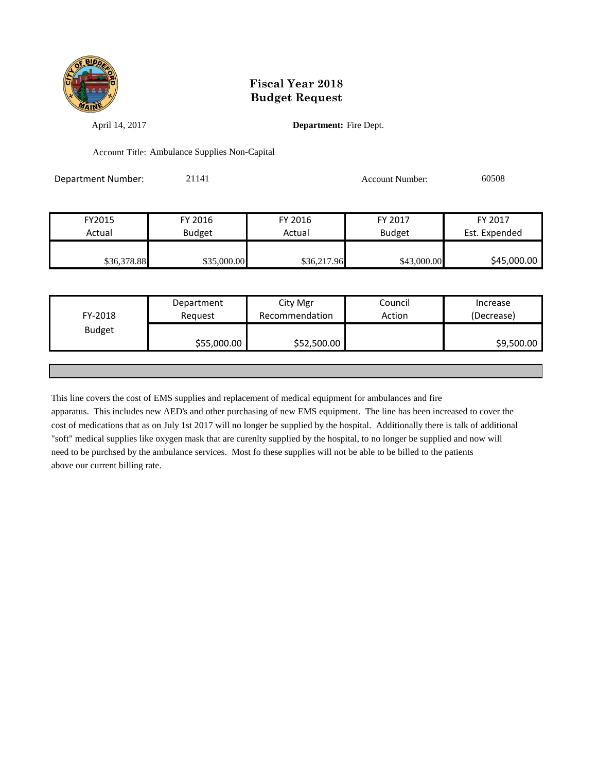

April 14, 2017 **Department:** Fire Dept.

Account Title: Ambulance Supplies Non-Capital

Department Number: 21141 21141 Account Number: 60508 FY2015 FY 2016 FY 2016 FY 2017 FY 2017

| Actual      | <b>Budget</b> | Actual      | <b>Budget</b> | Est. Expended |
|-------------|---------------|-------------|---------------|---------------|
|             |               |             |               |               |
| \$36,378.88 | \$35,000.00   | \$36,217.96 | \$43,000.00   | \$45,000.00   |

|               | Department  | City Mgr       | Council | Increase   |
|---------------|-------------|----------------|---------|------------|
| FY-2018       | Request     | Recommendation | Action  | (Decrease) |
| <b>Budget</b> |             |                |         |            |
|               | \$55,000.00 | \$52,500.00    |         | \$9,500.00 |
|               |             |                |         |            |

This line covers the cost of EMS supplies and replacement of medical equipment for ambulances and fire apparatus. This includes new AED's and other purchasing of new EMS equipment. The line has been increased to cover the cost of medications that as on July 1st 2017 will no longer be supplied by the hospital. Additionally there is talk of additional "soft" medical supplies like oxygen mask that are curenlty supplied by the hospital, to no longer be supplied and now will need to be purchsed by the ambulance services. Most fo these supplies will not be able to be billed to the patients above our current billing rate.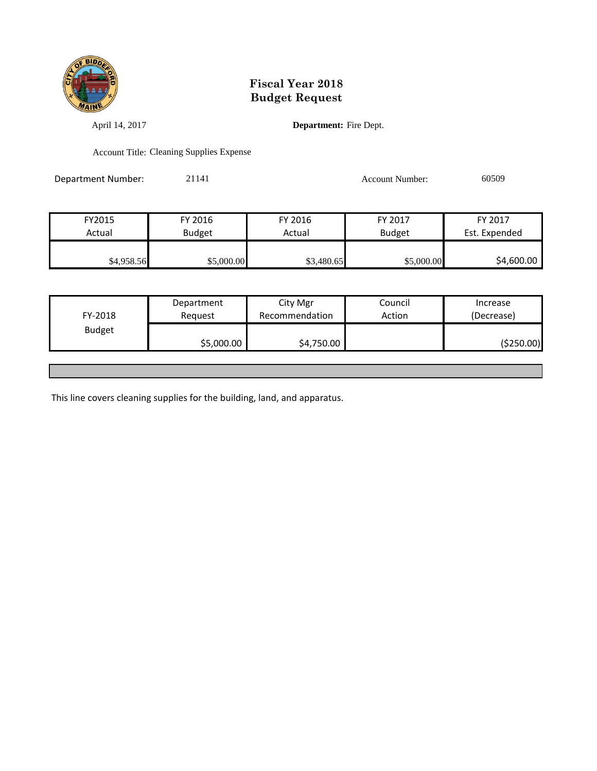

April 14, 2017 **Department:** Fire Dept.

Account Title: Cleaning Supplies Expense

Department Number: 21141 21141 Account Number: 60509

FY2015 FY 2016 FY 2016 FY 2017 FY 2017 Actual Budget Actual Budget Est. Expended \$4,958.56 \$5,000.00 \$5,000.00 \$3,480.65 \$5,000.00 \$4,600.00

| FY-2018       | Department<br>Request | City Mgr<br>Recommendation | Council<br>Action | Increase<br>(Decrease) |
|---------------|-----------------------|----------------------------|-------------------|------------------------|
| <b>Budget</b> |                       |                            |                   |                        |
|               | \$5,000.00            | \$4,750.00                 |                   | (\$250.00)             |
|               |                       |                            |                   |                        |

This line covers cleaning supplies for the building, land, and apparatus.